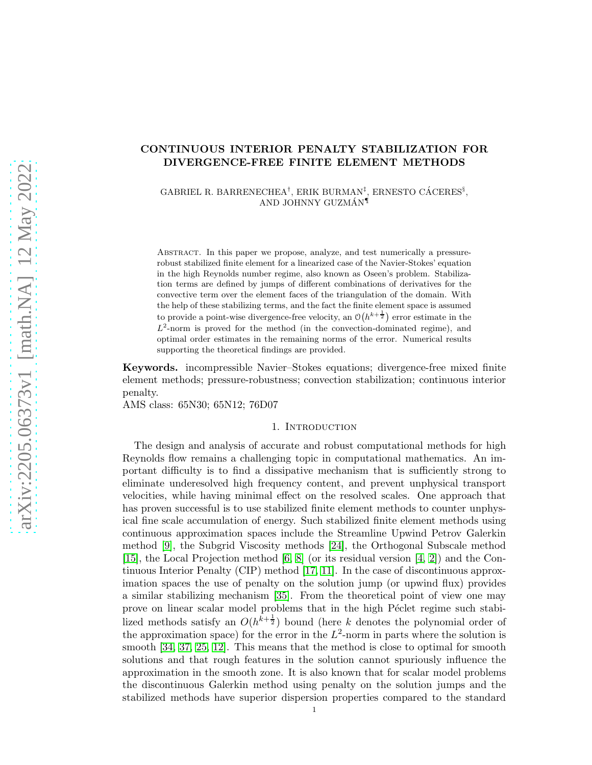# CONTINUOUS INTERIOR PENALTY STABILIZATION FOR DIVERGENCE-FREE FINITE ELEMENT METHODS

GABRIEL R. BARRENECHEA<sup>†</sup>, ERIK BURMAN<sup>‡</sup>, ERNESTO CÁCERES<sup>§</sup>, AND JOHNNY GUZMÁN<sup>1</sup>

Abstract. In this paper we propose, analyze, and test numerically a pressurerobust stabilized finite element for a linearized case of the Navier-Stokes' equation in the high Reynolds number regime, also known as Oseen's problem. Stabilization terms are defined by jumps of different combinations of derivatives for the convective term over the element faces of the triangulation of the domain. With the help of these stabilizing terms, and the fact the finite element space is assumed to provide a point-wise divergence-free velocity, an  $\mathcal{O}(h^{k+\frac{1}{2}})$  error estimate in the  $L^2$ -norm is proved for the method (in the convection-dominated regime), and optimal order estimates in the remaining norms of the error. Numerical results supporting the theoretical findings are provided.

Keywords. incompressible Navier–Stokes equations; divergence-free mixed finite element methods; pressure-robustness; convection stabilization; continuous interior penalty.

AMS class: 65N30; 65N12; 76D07

## 1. INTRODUCTION

The design and analysis of accurate and robust computational methods for high Reynolds flow remains a challenging topic in computational mathematics. An important difficulty is to find a dissipative mechanism that is sufficiently strong to eliminate underesolved high frequency content, and prevent unphysical transport velocities, while having minimal effect on the resolved scales. One approach that has proven successful is to use stabilized finite element methods to counter unphysical fine scale accumulation of energy. Such stabilized finite element methods using continuous approximation spaces include the Streamline Upwind Petrov Galerkin method [\[9\]](#page-17-0), the Subgrid Viscosity methods [\[24\]](#page-18-0), the Orthogonal Subscale method [\[15\]](#page-17-1), the Local Projection method [\[6,](#page-16-0) [8\]](#page-16-1) (or its residual version [\[4,](#page-16-2) [2\]](#page-16-3)) and the Continuous Interior Penalty (CIP) method [\[17,](#page-18-1) [11\]](#page-17-2). In the case of discontinuous approximation spaces the use of penalty on the solution jump (or upwind flux) provides a similar stabilizing mechanism [\[35\]](#page-18-2). From the theoretical point of view one may prove on linear scalar model problems that in the high Péclet regime such stabilized methods satisfy an  $O(h^{\overline{k}+\frac{1}{2}})$  bound (here k denotes the polynomial order of the approximation space) for the error in the  $L^2$ -norm in parts where the solution is smooth [\[34,](#page-18-3) [37,](#page-19-0) [25,](#page-18-4) [12\]](#page-17-3). This means that the method is close to optimal for smooth solutions and that rough features in the solution cannot spuriously influence the approximation in the smooth zone. It is also known that for scalar model problems the discontinuous Galerkin method using penalty on the solution jumps and the stabilized methods have superior dispersion properties compared to the standard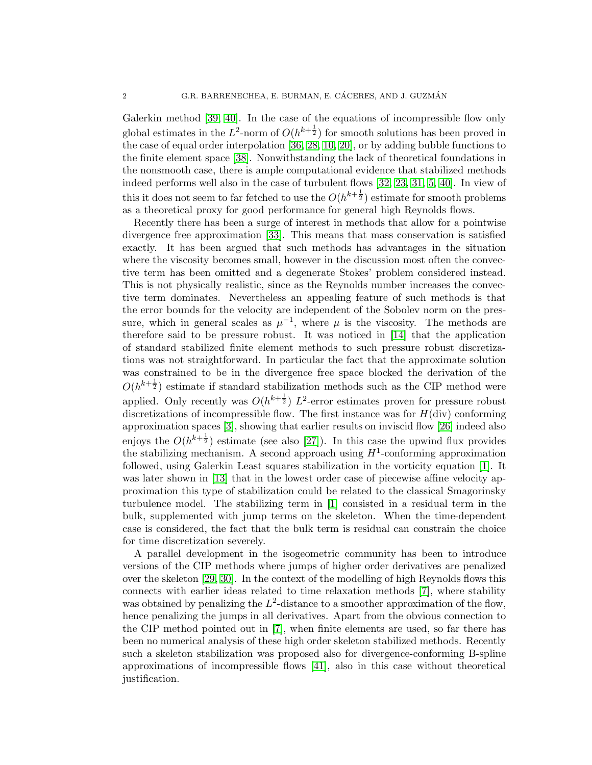Galerkin method [\[39,](#page-19-1) [40\]](#page-19-2). In the case of the equations of incompressible flow only global estimates in the  $L^2$ -norm of  $O(h^{k+\frac{1}{2}})$  for smooth solutions has been proved in the case of equal order interpolation [\[36,](#page-18-5) [28,](#page-18-6) [10,](#page-17-4) [20\]](#page-18-7), or by adding bubble functions to the finite element space [\[38\]](#page-19-3). Nonwithstanding the lack of theoretical foundations in the nonsmooth case, there is ample computational evidence that stabilized methods indeed performs well also in the case of turbulent flows [\[32,](#page-18-8) [23,](#page-18-9) [31,](#page-18-10) [5,](#page-16-4) [40\]](#page-19-2). In view of this it does not seem to far fetched to use the  $O(h^{k+\frac{1}{2}})$  estimate for smooth problems as a theoretical proxy for good performance for general high Reynolds flows.

Recently there has been a surge of interest in methods that allow for a pointwise divergence free approximation [\[33\]](#page-18-11). This means that mass conservation is satisfied exactly. It has been argued that such methods has advantages in the situation where the viscosity becomes small, however in the discussion most often the convective term has been omitted and a degenerate Stokes' problem considered instead. This is not physically realistic, since as the Reynolds number increases the convective term dominates. Nevertheless an appealing feature of such methods is that the error bounds for the velocity are independent of the Sobolev norm on the pressure, which in general scales as  $\mu^{-1}$ , where  $\mu$  is the viscosity. The methods are therefore said to be pressure robust. It was noticed in [\[14\]](#page-17-5) that the application of standard stabilized finite element methods to such pressure robust discretizations was not straightforward. In particular the fact that the approximate solution was constrained to be in the divergence free space blocked the derivation of the  $O(h^{k+\frac{1}{2}})$  estimate if standard stabilization methods such as the CIP method were applied. Only recently was  $O(h^{k+\frac{1}{2}}) L^2$ -error estimates proven for pressure robust discretizations of incompressible flow. The first instance was for  $H$ (div) conforming approximation spaces [\[3\]](#page-16-5), showing that earlier results on inviscid flow [\[26\]](#page-18-12) indeed also enjoys the  $O(h^{k+\frac{1}{2}})$  estimate (see also [\[27\]](#page-18-13)). In this case the upwind flux provides the stabilizing mechanism. A second approach using  $H^1$ -conforming approximation followed, using Galerkin Least squares stabilization in the vorticity equation [\[1\]](#page-16-6). It was later shown in [\[13\]](#page-17-6) that in the lowest order case of piecewise affine velocity approximation this type of stabilization could be related to the classical Smagorinsky turbulence model. The stabilizing term in [\[1\]](#page-16-6) consisted in a residual term in the bulk, supplemented with jump terms on the skeleton. When the time-dependent case is considered, the fact that the bulk term is residual can constrain the choice for time discretization severely.

A parallel development in the isogeometric community has been to introduce versions of the CIP methods where jumps of higher order derivatives are penalized over the skeleton [\[29,](#page-18-14) [30\]](#page-18-15). In the context of the modelling of high Reynolds flows this connects with earlier ideas related to time relaxation methods [\[7\]](#page-16-7), where stability was obtained by penalizing the  $L^2$ -distance to a smoother approximation of the flow, hence penalizing the jumps in all derivatives. Apart from the obvious connection to the CIP method pointed out in [\[7\]](#page-16-7), when finite elements are used, so far there has been no numerical analysis of these high order skeleton stabilized methods. Recently such a skeleton stabilization was proposed also for divergence-conforming B-spline approximations of incompressible flows [\[41\]](#page-19-4), also in this case without theoretical justification.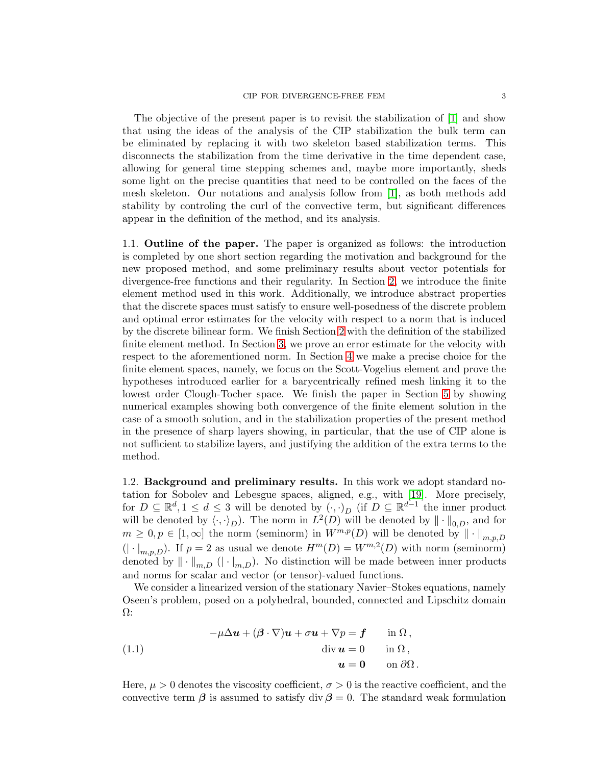#### CIP FOR DIVERGENCE-FREE FEM 3

The objective of the present paper is to revisit the stabilization of [\[1\]](#page-16-6) and show that using the ideas of the analysis of the CIP stabilization the bulk term can be eliminated by replacing it with two skeleton based stabilization terms. This disconnects the stabilization from the time derivative in the time dependent case, allowing for general time stepping schemes and, maybe more importantly, sheds some light on the precise quantities that need to be controlled on the faces of the mesh skeleton. Our notations and analysis follow from [\[1\]](#page-16-6), as both methods add stability by controling the curl of the convective term, but significant differences appear in the definition of the method, and its analysis.

1.1. Outline of the paper. The paper is organized as follows: the introduction is completed by one short section regarding the motivation and background for the new proposed method, and some preliminary results about vector potentials for divergence-free functions and their regularity. In Section [2,](#page-3-0) we introduce the finite element method used in this work. Additionally, we introduce abstract properties that the discrete spaces must satisfy to ensure well-posedness of the discrete problem and optimal error estimates for the velocity with respect to a norm that is induced by the discrete bilinear form. We finish Section [2](#page-3-0) with the definition of the stabilized finite element method. In Section [3,](#page-5-0) we prove an error estimate for the velocity with respect to the aforementioned norm. In Section [4](#page-11-0) we make a precise choice for the finite element spaces, namely, we focus on the Scott-Vogelius element and prove the hypotheses introduced earlier for a barycentrically refined mesh linking it to the lowest order Clough-Tocher space. We finish the paper in Section [5](#page-14-0) by showing numerical examples showing both convergence of the finite element solution in the case of a smooth solution, and in the stabilization properties of the present method in the presence of sharp layers showing, in particular, that the use of CIP alone is not sufficient to stabilize layers, and justifying the addition of the extra terms to the method.

1.2. Background and preliminary results. In this work we adopt standard notation for Sobolev and Lebesgue spaces, aligned, e.g., with [\[19\]](#page-18-16). More precisely, for  $D \subseteq \mathbb{R}^d, 1 \leq d \leq 3$  will be denoted by  $(\cdot, \cdot)_D$  (if  $D \subseteq \mathbb{R}^{d-1}$  the inner product will be denoted by  $\langle \cdot, \cdot \rangle_D$ . The norm in  $L^2(D)$  will be denoted by  $\|\cdot\|_{0,D}$ , and for  $m \geq 0, p \in [1, \infty]$  the norm (seminorm) in  $W^{m,p}(D)$  will be denoted by  $\|\cdot\|_{m,p,D}$  $(| \cdot |_{m,p,D})$ . If  $p = 2$  as usual we denote  $H^m(D) = W^{m,2}(D)$  with norm (seminorm) denoted by  $\|\cdot\|_{m,D}$  ( $|\cdot|_{m,D}$ ). No distinction will be made between inner products and norms for scalar and vector (or tensor)-valued functions.

We consider a linearized version of the stationary Navier–Stokes equations, namely Oseen's problem, posed on a polyhedral, bounded, connected and Lipschitz domain  $\Omega$ :

<span id="page-2-0"></span>(1.1) 
$$
-\mu \Delta u + (\beta \cdot \nabla)u + \sigma u + \nabla p = \mathbf{f} \quad \text{in } \Omega, \n\text{div } \mathbf{u} = 0 \quad \text{in } \Omega, \n\mathbf{u} = \mathbf{0} \quad \text{on } \partial \Omega.
$$

Here,  $\mu > 0$  denotes the viscosity coefficient,  $\sigma > 0$  is the reactive coefficient, and the convective term  $\beta$  is assumed to satisfy div  $\beta = 0$ . The standard weak formulation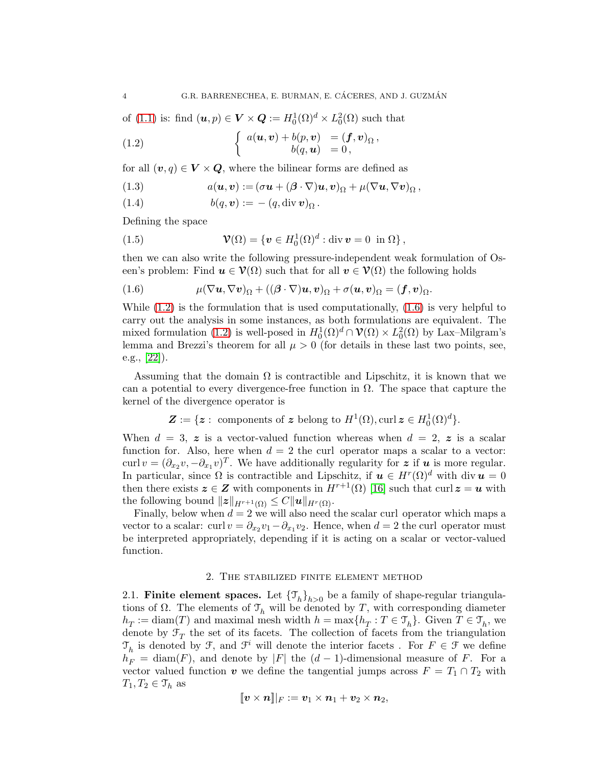of [\(1.1\)](#page-2-0) is: find  $(\boldsymbol{u}, p) \in \boldsymbol{V} \times \boldsymbol{Q} := H_0^1(\Omega)^d \times L_0^2(\Omega)$  such that

<span id="page-3-1"></span>(1.2) 
$$
\begin{cases} a(\boldsymbol{u},\boldsymbol{v}) + b(p,\boldsymbol{v}) &= (\boldsymbol{f},\boldsymbol{v})_{\Omega}, \\ b(q,\boldsymbol{u}) &= 0, \end{cases}
$$

for all  $(v, q) \in V \times Q$ , where the bilinear forms are defined as

<span id="page-3-3"></span>(1.3) 
$$
a(\boldsymbol{u},\boldsymbol{v}) := (\sigma \boldsymbol{u} + (\boldsymbol{\beta} \cdot \nabla) \boldsymbol{u}, \boldsymbol{v})_{\Omega} + \mu (\nabla \boldsymbol{u}, \nabla \boldsymbol{v})_{\Omega},
$$

<span id="page-3-4"></span>
$$
(1.4) \t b(q, v) := -(q, \text{div } v)_{\Omega}.
$$

Defining the space

(1.5) 
$$
\mathcal{V}(\Omega) = \{ \mathbf{v} \in H_0^1(\Omega)^d : \text{div } \mathbf{v} = 0 \text{ in } \Omega \},
$$

then we can also write the following pressure-independent weak formulation of Oseen's problem: Find  $u \in \mathcal{V}(\Omega)$  such that for all  $v \in \mathcal{V}(\Omega)$  the following holds

<span id="page-3-2"></span>(1.6) 
$$
\mu(\nabla \mathbf{u}, \nabla \mathbf{v})_{\Omega} + ((\boldsymbol{\beta} \cdot \nabla) \mathbf{u}, \mathbf{v})_{\Omega} + \sigma(\mathbf{u}, \mathbf{v})_{\Omega} = (\mathbf{f}, \mathbf{v})_{\Omega}.
$$

While  $(1.2)$  is the formulation that is used computationally,  $(1.6)$  is very helpful to carry out the analysis in some instances, as both formulations are equivalent. The mixed formulation [\(1.2\)](#page-3-1) is well-posed in  $H_0^1(\Omega)^d \cap \mathcal{V}(\Omega) \times L_0^2(\Omega)$  by Lax-Milgram's lemma and Brezzi's theorem for all  $\mu > 0$  (for details in these last two points, see, e.g., [\[22\]](#page-18-17)).

Assuming that the domain  $\Omega$  is contractible and Lipschitz, it is known that we can a potential to every divergence-free function in  $\Omega$ . The space that capture the kernel of the divergence operator is

$$
\mathbf{Z} := \{ \boldsymbol{z} : \text{ components of } \boldsymbol{z} \text{ belong to } H^1(\Omega), \text{curl } \boldsymbol{z} \in H_0^1(\Omega)^d \}.
$$

When  $d = 3$ , z is a vector-valued function whereas when  $d = 2$ , z is a scalar function for. Also, here when  $d = 2$  the curl operator maps a scalar to a vector: curl  $v = (\partial_{x_2} v, -\partial_{x_1} v)^T$ . We have additionally regularity for z if u is more regular. In particular, since  $\Omega$  is contractible and Lipschitz, if  $u \in H^r(\Omega)^d$  with div  $u = 0$ then there exists  $z \in Z$  with components in  $H^{r+1}(\Omega)$  [\[16\]](#page-18-18) such that curl  $z = u$  with the following bound  $||z||_{H^{r+1}(\Omega)} \leq C||u||_{H^r(\Omega)}$ .

Finally, below when  $d = 2$  we will also need the scalar curl operator which maps a vector to a scalar: curl  $v = \partial_{x_2} v_1 - \partial_{x_1} v_2$ . Hence, when  $d = 2$  the curl operator must be interpreted appropriately, depending if it is acting on a scalar or vector-valued function.

### 2. The stabilized finite element method

<span id="page-3-0"></span>2.1. Finite element spaces. Let  ${\{\mathcal{T}_h\}}_{h>0}$  be a family of shape-regular triangulations of  $\Omega$ . The elements of  $\mathcal{T}_h$  will be denoted by T, with corresponding diameter  $h_T := \text{diam}(T)$  and maximal mesh width  $h = \max\{h_T : T \in \mathcal{T}_h\}$ . Given  $T \in \mathcal{T}_h$ , we denote by  $\mathcal{F}_T$  the set of its facets. The collection of facets from the triangulation  $\mathfrak{T}_h$  is denoted by  $\mathcal{F},$  and  $\mathcal{F}^i$  will denote the interior facets . For  $F\in\mathcal{F}$  we define  $h_F = \text{diam}(F)$ , and denote by |F| the  $(d-1)$ -dimensional measure of F. For a vector valued function v we define the tangential jumps across  $F = T_1 \cap T_2$  with  $T_1, T_2 \in \mathcal{T}_h$  as

$$
[\![\boldsymbol{v}\times\boldsymbol{n}]\!]|_F:=\boldsymbol{v}_1\times\boldsymbol{n}_1+\boldsymbol{v}_2\times\boldsymbol{n}_2,
$$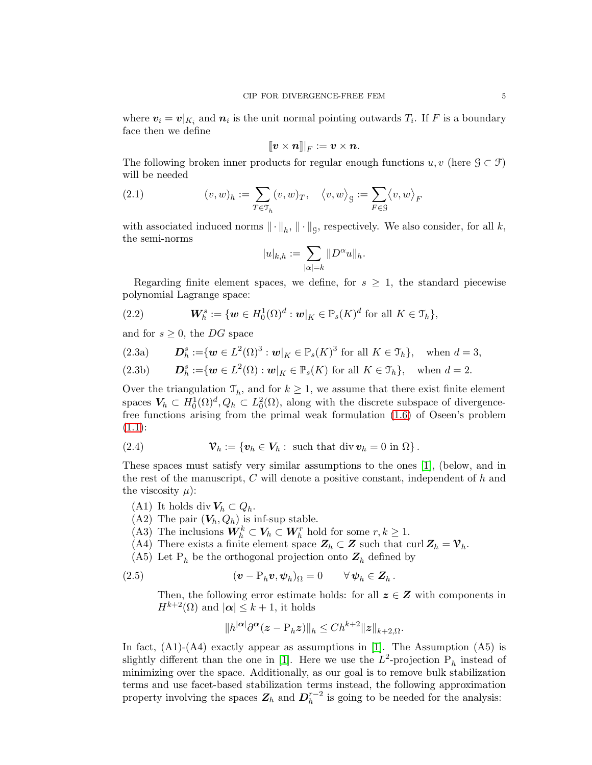where  $v_i = v|_{K_i}$  and  $n_i$  is the unit normal pointing outwards  $T_i$ . If F is a boundary face then we define

$$
[\![ v \times n ]\!] |_{F} := v \times n.
$$

The following broken inner products for regular enough functions  $u, v$  (here  $\mathcal{G} \subset \mathcal{F}$ ) will be needed

(2.1) 
$$
(v, w)_h := \sum_{T \in \mathcal{T}_h} (v, w)_T, \quad \langle v, w \rangle_g := \sum_{F \in \mathcal{G}} \langle v, w \rangle_F
$$

with associated induced norms  $\|\cdot\|_h$ ,  $\|\cdot\|_g$ , respectively. We also consider, for all k, the semi-norms

$$
|u|_{k,h} := \sum_{|\alpha|=k} \|D^{\alpha}u\|_h.
$$

Regarding finite element spaces, we define, for  $s \geq 1$ , the standard piecewise polynomial Lagrange space:

(2.2) 
$$
\boldsymbol{W}_{h}^{s} := \{ \boldsymbol{w} \in H_0^1(\Omega)^d : \boldsymbol{w}|_K \in \mathbb{P}_s(K)^d \text{ for all } K \in \mathcal{T}_h \},
$$

and for  $s \geq 0$ , the DG space

(2.3a) 
$$
\mathbf{D}_h^s := \{ \mathbf{w} \in L^2(\Omega)^3 : \mathbf{w}|_K \in \mathbb{P}_s(K)^3 \text{ for all } K \in \mathcal{T}_h \}, \text{ when } d = 3,
$$

(2.3b) 
$$
\mathbf{D}_h^s := \{ \mathbf{w} \in L^2(\Omega) : \mathbf{w}|_K \in \mathbb{P}_s(K) \text{ for all } K \in \mathcal{T}_h \}, \text{ when } d = 2.
$$

Over the triangulation  $\mathcal{T}_h$ , and for  $k \geq 1$ , we assume that there exist finite element spaces  $V_h \subset H_0^1(\Omega)^d$ ,  $Q_h \subset L_0^2(\Omega)$ , along with the discrete subspace of divergencefree functions arising from the primal weak formulation [\(1.6\)](#page-3-2) of Oseen's problem  $(1.1):$  $(1.1):$ 

(2.4) 
$$
\mathcal{V}_h := \{ \mathbf{v}_h \in V_h : \text{ such that } \text{div } \mathbf{v}_h = 0 \text{ in } \Omega \}.
$$

These spaces must satisfy very similar assumptions to the ones [\[1\]](#page-16-6), (below, and in the rest of the manuscript,  $C$  will denote a positive constant, independent of  $h$  and the viscosity  $\mu$ :

(A1) It holds div  $V_h \subset Q_h$ .

(A2) The pair  $(V_h, Q_h)$  is inf-sup stable.

(A3) The inclusions  $W_h^k \subset V_h \subset W_h^r$  hold for some  $r, k \geq 1$ .

(A4) There exists a finite element space  $\mathbf{Z}_h \subset \mathbf{Z}$  such that curl  $\mathbf{Z}_h = \mathbf{V}_h$ .

(A5) Let  $P_h$  be the orthogonal projection onto  $\mathbf{Z}_h$  defined by

(2.5) 
$$
(\mathbf{v} - \mathbf{P}_h \mathbf{v}, \psi_h)_{\Omega} = 0 \qquad \forall \psi_h \in \mathbf{Z}_h.
$$

Then, the following error estimate holds: for all  $z \in Z$  with components in  $H^{k+2}(\Omega)$  and  $|\alpha| \leq k+1$ , it holds

<span id="page-4-0"></span>
$$
||h^{|\alpha|}\partial^{\alpha}(z-\mathbf{P}_h z)||_h\leq Ch^{k+2}||z||_{k+2,\Omega}.
$$

In fact,  $(A1)$ - $(A4)$  exactly appear as assumptions in [\[1\]](#page-16-6). The Assumption  $(A5)$  is slightly different than the one in [\[1\]](#page-16-6). Here we use the  $L^2$ -projection  $P_h$  instead of minimizing over the space. Additionally, as our goal is to remove bulk stabilization terms and use facet-based stabilization terms instead, the following approximation property involving the spaces  $\mathbf{Z}_h$  and  $\mathbf{D}_h^{r-2}$  is going to be needed for the analysis: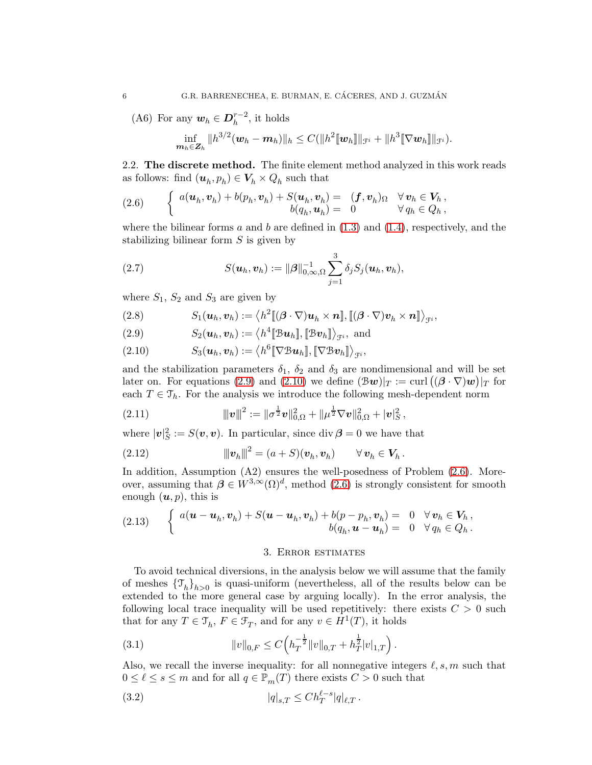(A6) For any  $w_h \in D_h^{r-2}$ , it holds

$$
\inf_{\boldsymbol{m}_h\in \boldsymbol{Z}_h}\|h^{3/2}(\boldsymbol{w}_h-\boldsymbol{m}_h)\|_h\leq C(\|h^2[\![\boldsymbol{w}_h]\!]\|_{\mathcal{F}^i}+\|h^3[\![\nabla \boldsymbol{w}_h]\!]\|_{\mathcal{F}^i}).
$$

2.2. The discrete method. The finite element method analyzed in this work reads as follows: find  $(\boldsymbol{u}_h, p_h) \in \boldsymbol{V}_h \times Q_h$  such that

<span id="page-5-3"></span>(2.6) 
$$
\begin{cases} a(\boldsymbol{u}_h, \boldsymbol{v}_h) + b(p_h, \boldsymbol{v}_h) + S(\boldsymbol{u}_h, \boldsymbol{v}_h) = (f, \boldsymbol{v}_h)_{\Omega} & \forall \boldsymbol{v}_h \in V_h, \\ b(q_h, \boldsymbol{u}_h) = 0 & \forall q_h \in Q_h, \end{cases}
$$

where the bilinear forms  $a$  and  $b$  are defined in  $(1.3)$  and  $(1.4)$ , respectively, and the stabilizing bilinear form S is given by

<span id="page-5-4"></span>(2.7) 
$$
S(\boldsymbol{u}_h, \boldsymbol{v}_h) := ||\boldsymbol{\beta}||_{0,\infty,\Omega}^{-1} \sum_{j=1}^3 \delta_j S_j(\boldsymbol{u}_h, \boldsymbol{v}_h),
$$

where  $S_1$ ,  $S_2$  and  $S_3$  are given by

<span id="page-5-8"></span>(2.8) 
$$
S_1(\boldsymbol{u}_h, \boldsymbol{v}_h) := \langle h^2[\![ (\boldsymbol{\beta} \cdot \nabla) \boldsymbol{u}_h \times \boldsymbol{n} ]\!] , [\![ (\boldsymbol{\beta} \cdot \nabla) \boldsymbol{v}_h \times \boldsymbol{n} ]\!] \rangle_{\mathcal{F}^i},
$$

<span id="page-5-1"></span>(2.9) 
$$
S_2(\boldsymbol{u}_h, \boldsymbol{v}_h) := \langle h^4[\mathbb{B}\boldsymbol{u}_h], [\mathbb{B}\boldsymbol{v}_h]\rangle_{\mathcal{F}^i}, \text{ and}
$$

<span id="page-5-2"></span>(2.10) 
$$
S_3(\boldsymbol{u}_h,\boldsymbol{v}_h) := \langle h^6[\![\nabla \mathfrak{B} \boldsymbol{u}_h]\!], [\![\nabla \mathfrak{B} \boldsymbol{v}_h]\!] \rangle_{\mathfrak{F}^i},
$$

and the stabilization parameters  $\delta_1$ ,  $\delta_2$  and  $\delta_3$  are nondimensional and will be set later on. For equations [\(2.9\)](#page-5-1) and [\(2.10\)](#page-5-2) we define  $(\mathcal{B}w)|_T := \text{curl}((\boldsymbol{\beta} \cdot \nabla)w)|_T$  for each  $T \in \mathcal{T}_h$ . For the analysis we introduce the following mesh-dependent norm

<span id="page-5-5"></span>(2.11) 
$$
\|v\|^2 := \|\sigma^{\frac{1}{2}}v\|_{0,\Omega}^2 + \|\mu^{\frac{1}{2}}\nabla v\|_{0,\Omega}^2 + |v|_S^2,
$$

where  $|\mathbf{v}|_S^2 := S(\mathbf{v}, \mathbf{v})$ . In particular, since div  $\boldsymbol{\beta} = 0$  we have that

(2.12) 
$$
\|\boldsymbol{v}_h\|^2 = (a+S)(\boldsymbol{v}_h, \boldsymbol{v}_h) \qquad \forall \, \boldsymbol{v}_h \in \boldsymbol{V}_h.
$$

In addition, Assumption (A2) ensures the well-posedness of Problem [\(2.6\)](#page-5-3). Moreover, assuming that  $\beta \in W^{3,\infty}(\Omega)^d$ , method [\(2.6\)](#page-5-3) is strongly consistent for smooth enough  $(u, p)$ , this is

<span id="page-5-6"></span><span id="page-5-0"></span>(2.13) 
$$
\begin{cases} a(\boldsymbol{u}-\boldsymbol{u}_h,\boldsymbol{v}_h) + S(\boldsymbol{u}-\boldsymbol{u}_h,\boldsymbol{v}_h) + b(p-p_h,\boldsymbol{v}_h) = 0 & \forall \boldsymbol{v}_h \in V_h, \\ b(q_h,\boldsymbol{u}-\boldsymbol{u}_h) = 0 & \forall q_h \in Q_h. \end{cases}
$$

### <span id="page-5-7"></span>3. Error estimates

To avoid technical diversions, in the analysis below we will assume that the family of meshes  $\{\mathcal{T}_h\}_{h>0}$  is quasi-uniform (nevertheless, all of the results below can be extended to the more general case by arguing locally). In the error analysis, the following local trace inequality will be used repetitively: there exists  $C > 0$  such that for any  $T \in \mathcal{T}_h$ ,  $F \in \mathcal{F}_T$ , and for any  $v \in H^1(T)$ , it holds

(3.1) 
$$
||v||_{0,F} \leq C \Big( h_T^{-\frac{1}{2}} ||v||_{0,T} + h_T^{\frac{1}{2}} |v|_{1,T} \Big).
$$

Also, we recall the inverse inequality: for all nonnegative integers  $\ell, s, m$  such that  $0 \leq \ell \leq s \leq m$  and for all  $q \in \mathbb{P}_m(T)$  there exists  $C > 0$  such that

$$
(3.2) \t\t |q|_{s,T} \leq Ch_T^{\ell-s}|q|_{\ell,T}.
$$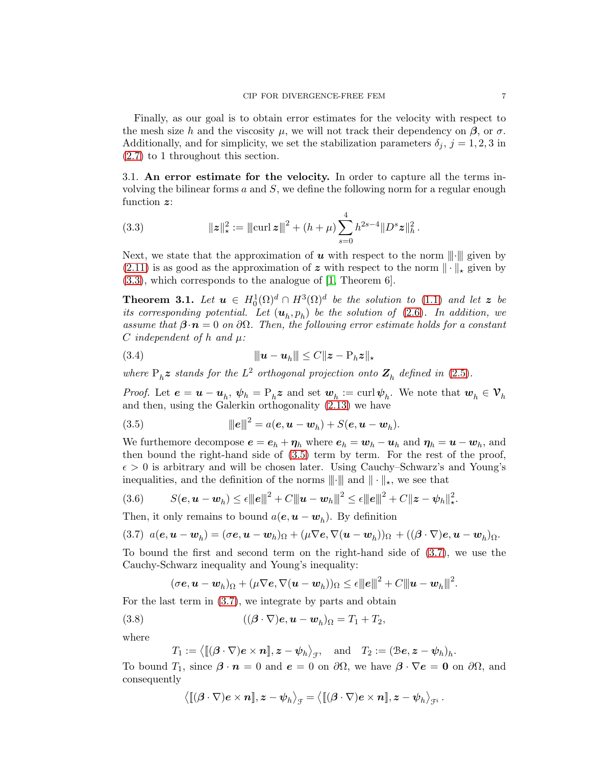Finally, as our goal is to obtain error estimates for the velocity with respect to the mesh size h and the viscosity  $\mu$ , we will not track their dependency on  $\beta$ , or  $\sigma$ . Additionally, and for simplicity, we set the stabilization parameters  $\delta_i$ ,  $j = 1, 2, 3$  in [\(2.7\)](#page-5-4) to 1 throughout this section.

3.1. An error estimate for the velocity. In order to capture all the terms involving the bilinear forms  $a$  and  $S$ , we define the following norm for a regular enough function z:

<span id="page-6-0"></span>(3.3) 
$$
\|z\|_{\star}^{2} := \|\mathrm{curl}\, z\|^{2} + (h+\mu) \sum_{s=0}^{4} h^{2s-4} \|D^{s} z\|_{h}^{2}.
$$

Next, we state that the approximation of  $u$  with respect to the norm  $\| \cdot \|$  given by  $(2.11)$  is as good as the approximation of z with respect to the norm  $\|\cdot\|_{\star}$  given by [\(3.3\)](#page-6-0), which corresponds to the analogue of [\[1,](#page-16-6) Theorem 6].

<span id="page-6-3"></span>**Theorem 3.1.** Let  $u \in H_0^1(\Omega)^d \cap H^3(\Omega)^d$  be the solution to [\(1.1\)](#page-2-0) and let z be its corresponding potential. Let  $(\mathbf{u}_h, p_h)$  be the solution of [\(2.6\)](#page-5-3). In addition, we assume that  $\beta \cdot n = 0$  on  $\partial \Omega$ . Then, the following error estimate holds for a constant C independent of h and  $\mu$ :

(3.4) |||u − u<sup>h</sup> ||| ≤ Ckz − Phzk<sup>⋆</sup>

where  $P_h z$  stands for the  $L^2$  orthogonal projection onto  $Z_h$  defined in [\(2.5\)](#page-4-0).

*Proof.* Let  $e = u - u_h$ ,  $\psi_h = P_h z$  and set  $w_h := \text{curl } \psi_h$ . We note that  $w_h \in V_h$ and then, using the Galerkin orthogonality [\(2.13\)](#page-5-6) we have

<span id="page-6-1"></span>(3.5) 
$$
\|e\|^2 = a(e, u - w_h) + S(e, u - w_h).
$$

We furthemore decompose  $e = e_h + \eta_h$  where  $e_h = w_h - u_h$  and  $\eta_h = u - w_h$ , and then bound the right-hand side of [\(3.5\)](#page-6-1) term by term. For the rest of the proof,  $\epsilon > 0$  is arbitrary and will be chosen later. Using Cauchy–Schwarz's and Young's inequalities, and the definition of the norms  $\|\cdot\|$  and  $\|\cdot\|_{\star}$ , we see that

$$
(3.6) \tS(e, \mathbf{u} - \mathbf{w}_h) \le \epsilon ||\mathbf{e}||^2 + C ||\mathbf{u} - \mathbf{w}_h||^2 \le \epsilon ||\mathbf{e}||^2 + C ||\mathbf{z} - \mathbf{\psi}_h||^2_{\star}.
$$

Then, it only remains to bound  $a(e, u - w_h)$ . By definition

<span id="page-6-2"></span>
$$
(3.7) \ \ a(\boldsymbol{e},\boldsymbol{u}-\boldsymbol{w}_h)=(\sigma \boldsymbol{e},\boldsymbol{u}-\boldsymbol{w}_h)_{\Omega}+(\mu \nabla \boldsymbol{e},\nabla (\boldsymbol{u}-\boldsymbol{w}_h))_{\Omega}+((\boldsymbol{\beta}\cdot\nabla)\boldsymbol{e},\boldsymbol{u}-\boldsymbol{w}_h)_{\Omega}.
$$

To bound the first and second term on the right-hand side of [\(3.7\)](#page-6-2), we use the Cauchy-Schwarz inequality and Young's inequality:

$$
(\sigma \mathbf{e}, \mathbf{u} - \mathbf{w}_h)_{\Omega} + (\mu \nabla \mathbf{e}, \nabla (\mathbf{u} - \mathbf{w}_h))_{\Omega} \leq \epsilon ||\mathbf{e}||^2 + C ||\mathbf{u} - \mathbf{w}_h||^2.
$$

For the last term in [\(3.7\)](#page-6-2), we integrate by parts and obtain

(3.8) 
$$
((\boldsymbol{\beta} \cdot \nabla) \boldsymbol{e}, \boldsymbol{u} - \boldsymbol{w}_h)_{\Omega} = T_1 + T_2,
$$

where

 $T_1:=\big\langle [\![(\boldsymbol{\beta}\cdot\nabla)\boldsymbol{e}\times\boldsymbol{n}]\!],\boldsymbol{z}-\boldsymbol{\psi}_h\big\rangle_{\mathfrak{F}},\quad\text{and}\quad T_2:=(\mathfrak{B}\boldsymbol{e},\boldsymbol{z}-\boldsymbol{\psi}_h)_h.$ 

To bound  $T_1$ , since  $\beta \cdot n = 0$  and  $e = 0$  on  $\partial \Omega$ , we have  $\beta \cdot \nabla e = 0$  on  $\partial \Omega$ , and consequently

$$
\big\langle [\![(\boldsymbol{\beta}\cdot\nabla)\boldsymbol{e}\times\boldsymbol{n}]\!],\boldsymbol{z}-\boldsymbol{\psi}_h\big\rangle_{\!\mathcal{F}}=\big\langle [\![(\boldsymbol{\beta}\cdot\nabla)\boldsymbol{e}\times\boldsymbol{n}]\!],\boldsymbol{z}-\boldsymbol{\psi}_h\big\rangle_{\!\mathcal{F}^i}\,.
$$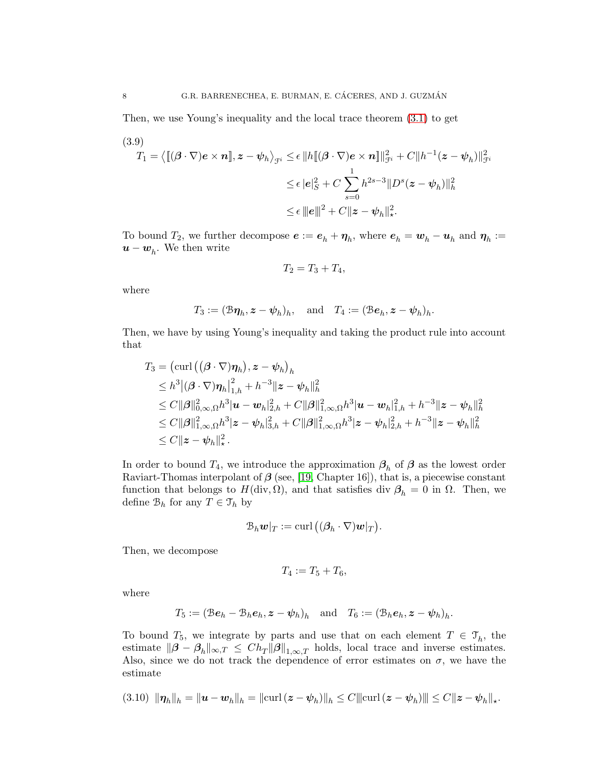Then, we use Young's inequality and the local trace theorem [\(3.1\)](#page-5-7) to get

<span id="page-7-0"></span>(3.9)  
\n
$$
T_1 = \langle [(\boldsymbol{\beta} \cdot \nabla) \boldsymbol{e} \times \boldsymbol{n}], \boldsymbol{z} - \boldsymbol{\psi}_h \rangle_{\mathcal{F}^i} \leq \epsilon \| h [[(\boldsymbol{\beta} \cdot \nabla) \boldsymbol{e} \times \boldsymbol{n}] \|_{\mathcal{F}^i}^2 + C \| h^{-1} (\boldsymbol{z} - \boldsymbol{\psi}_h) \|_{\mathcal{F}^i}^2
$$
\n
$$
\leq \epsilon |\boldsymbol{e}|_S^2 + C \sum_{s=0}^1 h^{2s-3} \| D^s (\boldsymbol{z} - \boldsymbol{\psi}_h) \|_h^2
$$
\n
$$
\leq \epsilon \| \boldsymbol{e} \|^2 + C \| \boldsymbol{z} - \boldsymbol{\psi}_h \|_{\star}^2.
$$

To bound  $T_2$ , we further decompose  $e := e_h + \eta_h$ , where  $e_h = w_h - u_h$  and  $\eta_h :=$  $u - w_h$ . We then write

$$
T_2 = T_3 + T_4,
$$

where

$$
T_3 := (\mathcal{B}\eta_h, z - \psi_h)_h
$$
, and  $T_4 := (\mathcal{B}e_h, z - \psi_h)_h$ .

Then, we have by using Young's inequality and taking the product rule into account that

$$
T_3 = (\text{curl}\left((\boldsymbol{\beta}\cdot\nabla)\boldsymbol{\eta}_h\right), \boldsymbol{z} - \boldsymbol{\psi}_h\right)_h
$$
  
\n
$$
\leq h^3 |(\boldsymbol{\beta}\cdot\nabla)\boldsymbol{\eta}_h|_{1,h}^2 + h^{-3} \|\boldsymbol{z} - \boldsymbol{\psi}_h\|_h^2
$$
  
\n
$$
\leq C ||\boldsymbol{\beta}||_{0,\infty,\Omega}^2 h^3 |\boldsymbol{u} - \boldsymbol{w}_h|_{2,h}^2 + C ||\boldsymbol{\beta}||_{1,\infty,\Omega}^2 h^3 |\boldsymbol{u} - \boldsymbol{w}_h|_{1,h}^2 + h^{-3} ||\boldsymbol{z} - \boldsymbol{\psi}_h||_h^2
$$
  
\n
$$
\leq C ||\boldsymbol{\beta}||_{1,\infty,\Omega}^2 h^3 |\boldsymbol{z} - \boldsymbol{\psi}_h|_{3,h}^2 + C ||\boldsymbol{\beta}||_{1,\infty,\Omega}^2 h^3 |\boldsymbol{z} - \boldsymbol{\psi}_h|_{2,h}^2 + h^{-3} ||\boldsymbol{z} - \boldsymbol{\psi}_h||_h^2
$$
  
\n
$$
\leq C ||\boldsymbol{z} - \boldsymbol{\psi}_h||_{\star}^2.
$$

In order to bound  $T_4$ , we introduce the approximation  $\beta_h$  of  $\beta$  as the lowest order Raviart-Thomas interpolant of  $\beta$  (see, [\[19,](#page-18-16) Chapter 16]), that is, a piecewise constant function that belongs to  $H(\text{div}, \Omega)$ , and that satisfies div  $\beta_h = 0$  in  $\Omega$ . Then, we define  $\mathcal{B}_h$  for any  $T \in \mathcal{T}_h$  by

$$
\mathcal{B}_h \mathbf{w}|_T := \operatorname{curl}\big( (\boldsymbol{\beta}_h \cdot \nabla) \mathbf{w}|_T \big).
$$

Then, we decompose

$$
T_4:=T_5+T_6,
$$

where

$$
T_5 := (\mathcal{B}\boldsymbol{e}_h - \mathcal{B}_h \boldsymbol{e}_h, \boldsymbol{z} - \boldsymbol{\psi}_h)_h \quad \text{and} \quad T_6 := (\mathcal{B}_h \boldsymbol{e}_h, \boldsymbol{z} - \boldsymbol{\psi}_h)_h.
$$

To bound  $T_5$ , we integrate by parts and use that on each element  $T \in \mathcal{T}_h$ , the estimate  $\|\boldsymbol{\beta} - \boldsymbol{\beta}_h\|_{\infty,T} \le Ch_T \|\boldsymbol{\beta}\|_{1,\infty,T}$  holds, local trace and inverse estimates. Also, since we do not track the dependence of error estimates on  $\sigma$ , we have the estimate

$$
(3.10) \|\eta_h\|_h = \|u - w_h\|_h = \|\text{curl}\,(z - \psi_h)\|_h \leq C \|\text{curl}\,(z - \psi_h)\| \leq C \|z - \psi_h\|_{\star}.
$$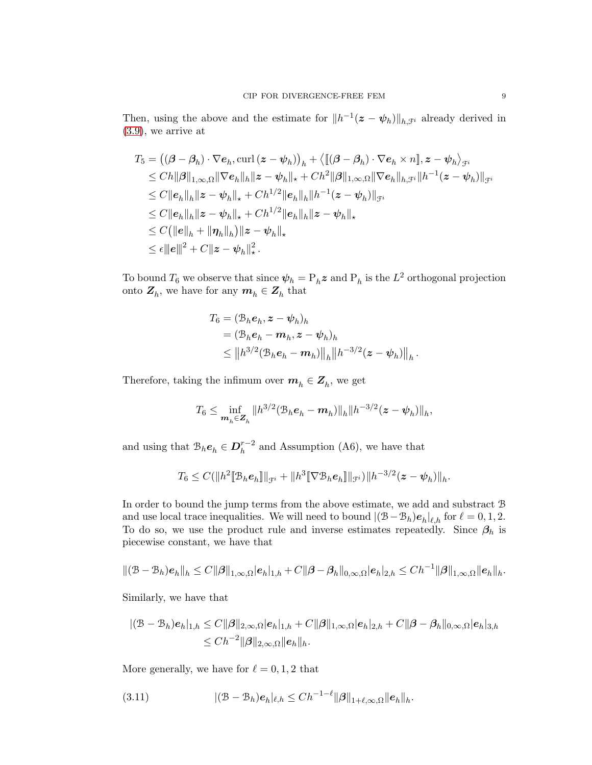Then, using the above and the estimate for  $||h^{-1}(z - \psi_h)||_{h,\mathcal{F}^i}$  already derived in [\(3.9\)](#page-7-0), we arrive at

$$
T_5 = ((\beta - \beta_h) \cdot \nabla e_h, \text{curl} (z - \psi_h))_h + \langle [(\beta - \beta_h) \cdot \nabla e_h \times n], z - \psi_h \rangle_{\mathcal{F}^i}
$$
  
\n
$$
\leq Ch ||\beta||_{1,\infty,\Omega} ||\nabla e_h||_h ||z - \psi_h||_h + Ch^2 ||\beta||_{1,\infty,\Omega} ||\nabla e_h||_{h,\mathcal{F}^i} ||h^{-1}(z - \psi_h)||_{\mathcal{F}^i}
$$
  
\n
$$
\leq C ||e_h||_h ||z - \psi_h||_h + Ch^{1/2} ||e_h||_h ||h^{-1}(z - \psi_h)||_{\mathcal{F}^i}
$$
  
\n
$$
\leq C ||e_h||_h ||z - \psi_h||_h + Ch^{1/2} ||e_h||_h ||z - \psi_h||_h
$$
  
\n
$$
\leq C (||e||_h + ||\eta_h||_h) ||z - \psi_h||_h
$$
  
\n
$$
\leq \epsilon ||e||^2 + C ||z - \psi_h||_h^2.
$$

To bound  $T_6$  we observe that since  $\psi_h = \mathrm{P}_h \boldsymbol{z}$  and  $\mathrm{P}_h$  is the  $L^2$  orthogonal projection onto  $\mathbf{Z}_h$ , we have for any  $\mathbf{m}_h \in \mathbf{Z}_h$  that

$$
T_6 = (\mathcal{B}_h \mathbf{e}_h, \mathbf{z} - \boldsymbol{\psi}_h)_h
$$
  
=  $(\mathcal{B}_h \mathbf{e}_h - \mathbf{m}_h, \mathbf{z} - \boldsymbol{\psi}_h)_h$   
 $\leq ||h^{3/2}(\mathcal{B}_h \mathbf{e}_h - \mathbf{m}_h)||_h ||h^{-3/2}(\mathbf{z} - \boldsymbol{\psi}_h)||_h.$ 

Therefore, taking the infimum over  $m_h \in Z_h$ , we get

$$
T_6 \leq \inf_{\mathbf{m}_h \in \mathbf{Z}_h} \|h^{3/2} (\mathcal{B}_h \mathbf{e}_h - \mathbf{m}_h) \|_h \|h^{-3/2}(\mathbf{z} - \mathbf{\psi}_h)\|_h,
$$

and using that  $\mathcal{B}_h e_h \in \mathbf{D}_h^{r-2}$  and Assumption (A6), we have that

$$
T_6 \leq C(||h^2[\mathbb{B}_h \mathbf{e}_h]]||_{\mathcal{F}^i} + ||h^3[\nabla \mathbb{B}_h \mathbf{e}_h]]||_{\mathcal{F}^i})||h^{-3/2}(\mathbf{z} - \psi_h)||_h.
$$

In order to bound the jump terms from the above estimate, we add and substract B and use local trace inequalities. We will need to bound  $|(\mathcal{B} - \mathcal{B}_h)e_h|_{\ell,h}$  for  $\ell = 0, 1, 2$ . To do so, we use the product rule and inverse estimates repeatedly. Since  $\beta_h$  is piecewise constant, we have that

$$
\|(\mathcal{B}-\mathcal{B}_h)\boldsymbol{e}_h\|_h \leq C \|\boldsymbol{\beta}\|_{1,\infty,\Omega} |\boldsymbol{e}_h|_{1,h} + C \|\boldsymbol{\beta}-\boldsymbol{\beta}_h\|_{0,\infty,\Omega} |\boldsymbol{e}_h|_{2,h} \leq C h^{-1} \|\boldsymbol{\beta}\|_{1,\infty,\Omega} \|\boldsymbol{e}_h\|_h.
$$

Similarly, we have that

$$
|(\mathcal{B}-\mathcal{B}_h)e_h|_{1,h} \leq C \|\boldsymbol{\beta}\|_{2,\infty,\Omega} |e_h|_{1,h} + C \|\boldsymbol{\beta}\|_{1,\infty,\Omega} |e_h|_{2,h} + C \|\boldsymbol{\beta}-\boldsymbol{\beta}_h\|_{0,\infty,\Omega} |e_h|_{3,h}
$$
  

$$
\leq C h^{-2} \|\boldsymbol{\beta}\|_{2,\infty,\Omega} \|e_h\|_h.
$$

More generally, we have for  $\ell = 0, 1, 2$  that

<span id="page-8-0"></span>(3.11) 
$$
|(\mathcal{B} - \mathcal{B}_h)e_h|_{\ell,h} \leq Ch^{-1-\ell} \|\boldsymbol{\beta}\|_{1+\ell,\infty,\Omega} \|e_h\|_h.
$$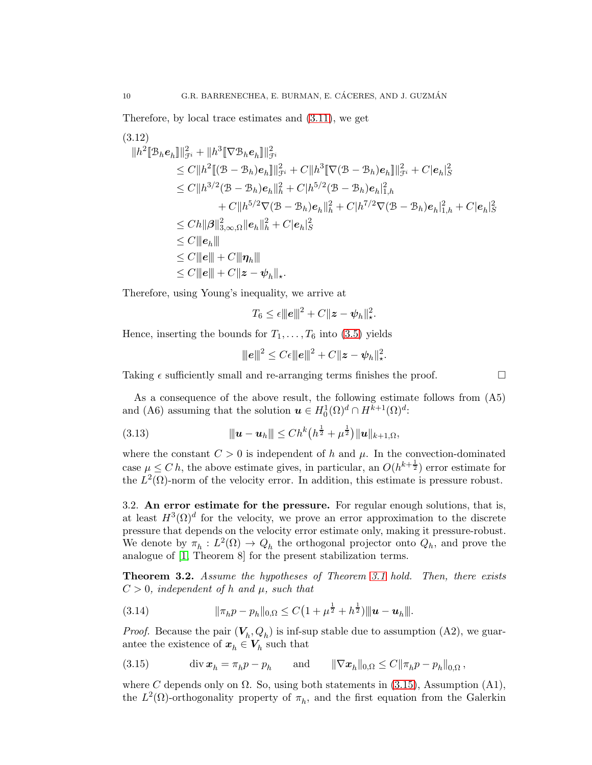Therefore, by local trace estimates and [\(3.11\)](#page-8-0), we get

$$
(3.12)
$$
\n
$$
||h^{2}[\mathcal{B}_{h}e_{h}]]||_{\mathcal{F}^{i}}^{2} + ||h^{3}[\nabla \mathcal{B}_{h}e_{h}]]||_{\mathcal{F}^{i}}^{2}
$$
\n
$$
\leq C||h^{2}[(\mathcal{B} - \mathcal{B}_{h})e_{h}]]||_{\mathcal{F}^{i}}^{2} + C||h^{3}[\nabla(\mathcal{B} - \mathcal{B}_{h})e_{h}]]||_{\mathcal{F}^{i}}^{2} + C|e_{h}|_{S}^{2}
$$
\n
$$
\leq C||h^{3/2}(\mathcal{B} - \mathcal{B}_{h})e_{h}||_{h}^{2} + C|h^{5/2}(\mathcal{B} - \mathcal{B}_{h})e_{h}||_{1,h}^{2}
$$
\n
$$
+ C||h^{5/2}\nabla(\mathcal{B} - \mathcal{B}_{h})e_{h}||_{h}^{2} + C|h^{7/2}\nabla(\mathcal{B} - \mathcal{B}_{h})e_{h}||_{1,h}^{2} + C|e_{h}|_{S}^{2}
$$
\n
$$
\leq C||e||\mathcal{B}||_{3,\infty,\Omega}||e_{h}||_{h}^{2} + C|e_{h}|_{S}^{2}
$$
\n
$$
\leq C||e_{h}||
$$
\n
$$
\leq C||e|| + C||\eta_{h}||
$$
\n
$$
\leq C||e|| + C||z - \psi_{h}||_{*}.
$$

Therefore, using Young's inequality, we arrive at

$$
T_6 \leq \epsilon ||e||^2 + C ||z - \psi_h||_*^2.
$$

Hence, inserting the bounds for  $T_1, \ldots, T_6$  into [\(3.5\)](#page-6-1) yields

$$
||||e||||^2 \leq C\epsilon ||||e||||^2 + C||z - \psi_h||_*^2.
$$

Taking  $\epsilon$  sufficiently small and re-arranging terms finishes the proof.

As a consequence of the above result, the following estimate follows from (A5) and (A6) assuming that the solution  $\mathbf{u} \in H_0^1(\Omega)^d \cap H^{k+1}(\Omega)^d$ :

(3.13) 
$$
\|u - u_h\| \leq Ch^k(h^{\frac{1}{2}} + \mu^{\frac{1}{2}})\|u\|_{k+1,\Omega},
$$

where the constant  $C > 0$  is independent of h and  $\mu$ . In the convection-dominated case  $\mu \leq C h$ , the above estimate gives, in particular, an  $O(h^{k+\frac{1}{2}})$  error estimate for the  $L^2(\Omega)$ -norm of the velocity error. In addition, this estimate is pressure robust.

3.2. An error estimate for the pressure. For regular enough solutions, that is, at least  $H^3(\Omega)^d$  for the velocity, we prove an error approximation to the discrete pressure that depends on the velocity error estimate only, making it pressure-robust. We denote by  $\pi_h: L^2(\Omega) \to Q_h$  the orthogonal projector onto  $Q_h$ , and prove the analogue of [\[1,](#page-16-6) Theorem 8] for the present stabilization terms.

Theorem 3.2. Assume the hypotheses of Theorem [3.1](#page-6-3) hold. Then, there exists  $C > 0$ , independent of h and  $\mu$ , such that

<span id="page-9-1"></span>(3.14) 
$$
\|\pi_h p - p_h\|_{0,\Omega} \leq C\left(1 + \mu^{\frac{1}{2}} + h^{\frac{1}{2}}\right) \|\boldsymbol{u} - \boldsymbol{u}_h\|.
$$

*Proof.* Because the pair  $(V_h, Q_h)$  is inf-sup stable due to assumption (A2), we guarantee the existence of  $x_h \in V_h$  such that

<span id="page-9-0"></span>(3.15) 
$$
\text{div } \mathbf{x}_h = \pi_h p - p_h \quad \text{and} \quad \|\nabla \mathbf{x}_h\|_{0,\Omega} \le C \|\pi_h p - p_h\|_{0,\Omega},
$$

where C depends only on  $\Omega$ . So, using both statements in [\(3.15\)](#page-9-0), Assumption (A1), the  $L^2(\Omega)$ -orthogonality property of  $\pi_h$ , and the first equation from the Galerkin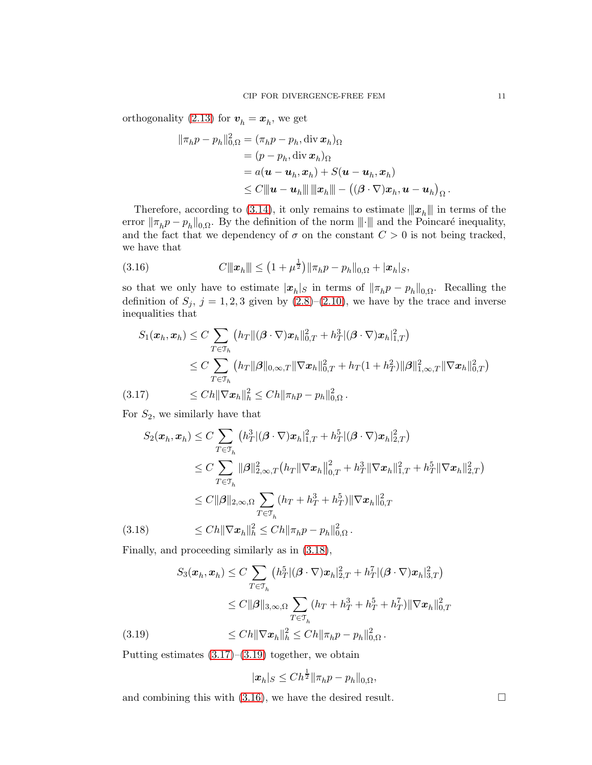orthogonality [\(2.13\)](#page-5-6) for  $v_h = x_h$ , we get

$$
\|\pi_h p - p_h\|_{0,\Omega}^2 = (\pi_h p - p_h, \operatorname{div} \mathbf{x}_h)_{\Omega}
$$
  
\n
$$
= (p - p_h, \operatorname{div} \mathbf{x}_h)_{\Omega}
$$
  
\n
$$
= a(\mathbf{u} - \mathbf{u}_h, \mathbf{x}_h) + S(\mathbf{u} - \mathbf{u}_h, \mathbf{x}_h)
$$
  
\n
$$
\leq C \|\mathbf{u} - \mathbf{u}_h\| \|\mathbf{x}_h\| - ((\beta \cdot \nabla)\mathbf{x}_h, \mathbf{u} - \mathbf{u}_h)_{\Omega}
$$

Therefore, according to [\(3.14\)](#page-9-1), it only remains to estimate  $||x_h||$  in terms of the error  $\|\pi_h p - p_h\|_{0,\Omega}$ . By the definition of the norm  $\|\cdot\|$  and the Poincaré inequality, and the fact that we dependency of  $\sigma$  on the constant  $C > 0$  is not being tracked, we have that

<span id="page-10-3"></span>(3.16) 
$$
C \|\bm{x}_h\| \leq (1 + \mu^{\frac{1}{2}}) \|\pi_h p - p_h\|_{0,\Omega} + |\bm{x}_h|_{S},
$$

so that we only have to estimate  $|\mathbf{x}_h|$ s in terms of  $||\pi_h p - p_h||_{0,\Omega}$ . Recalling the definition of  $S_j$ ,  $j = 1, 2, 3$  given by  $(2.8)$ – $(2.10)$ , we have by the trace and inverse inequalities that

$$
S_1(\boldsymbol{x}_h, \boldsymbol{x}_h) \le C \sum_{T \in \mathcal{T}_h} (h_T \| (\boldsymbol{\beta} \cdot \nabla) \boldsymbol{x}_h \|_{0,T}^2 + h_T^3 | (\boldsymbol{\beta} \cdot \nabla) \boldsymbol{x}_h \|_{1,T}^2)
$$
  
\n
$$
\le C \sum_{T \in \mathcal{T}_h} (h_T \| \boldsymbol{\beta} \|_{0,\infty,T} \| \nabla \boldsymbol{x}_h \|_{0,T}^2 + h_T (1 + h_T^2) \| \boldsymbol{\beta} \|_{1,\infty,T}^2 \| \nabla \boldsymbol{x}_h \|_{0,T}^2)
$$
  
\n(3.17) 
$$
\le C h \| \nabla \boldsymbol{x}_h \|_h^2 \le C h \| \pi_h p - p_h \|_{0,\Omega}^2.
$$

<span id="page-10-1"></span>For  $S_2$ , we similarly have that

$$
S_2(\boldsymbol{x}_h, \boldsymbol{x}_h) \le C \sum_{T \in \mathcal{T}_h} (h_T^3 | (\boldsymbol{\beta} \cdot \nabla) \boldsymbol{x}_h |_{1,T}^2 + h_T^5 | (\boldsymbol{\beta} \cdot \nabla) \boldsymbol{x}_h |_{2,T}^2)
$$
  
\n
$$
\le C \sum_{T \in \mathcal{T}_h} ||\boldsymbol{\beta}||_{2,\infty,T}^2 (h_T ||\nabla \boldsymbol{x}_h||_{0,T}^2 + h_T^3 ||\nabla \boldsymbol{x}_h||_{1,T}^2 + h_T^5 ||\nabla \boldsymbol{x}_h||_{2,T}^2)
$$
  
\n
$$
\le C ||\boldsymbol{\beta}||_{2,\infty,\Omega} \sum_{T \in \mathcal{T}_h} (h_T + h_T^3 + h_T^5) ||\nabla \boldsymbol{x}_h||_{0,T}^2
$$
  
\n(3.18) 
$$
\le C h ||\nabla \boldsymbol{x}_h||_h^2 \le C h ||\pi_h p - p_h||_{0,\Omega}^2.
$$

<span id="page-10-0"></span>Finally, and proceeding similarly as in [\(3.18\)](#page-10-0),

$$
S_3(\boldsymbol{x}_h, \boldsymbol{x}_h) \le C \sum_{T \in \mathcal{T}_h} \left( h_T^5 | (\boldsymbol{\beta} \cdot \nabla) \boldsymbol{x}_h |_{2,T}^2 + h_T^7 | (\boldsymbol{\beta} \cdot \nabla) \boldsymbol{x}_h |_{3,T}^2 \right)
$$
  
\n
$$
\le C ||\boldsymbol{\beta}||_{3,\infty,\Omega} \sum_{T \in \mathcal{T}_h} (h_T + h_T^3 + h_T^5 + h_T^7) ||\nabla \boldsymbol{x}_h||_{0,T}^2
$$
  
\n(3.19)  
\n
$$
\le C h ||\nabla \boldsymbol{x}_h||_h^2 \le C h ||\pi_h p - p_h||_{0,\Omega}^2.
$$

<span id="page-10-2"></span>Putting estimates  $(3.17)$ – $(3.19)$  together, we obtain

$$
|\boldsymbol{x}_h|_S \le Ch^{\frac{1}{2}} \|\pi_h p - p_h\|_{0,\Omega},
$$

1

and combining this with  $(3.16)$ , we have the desired result.

.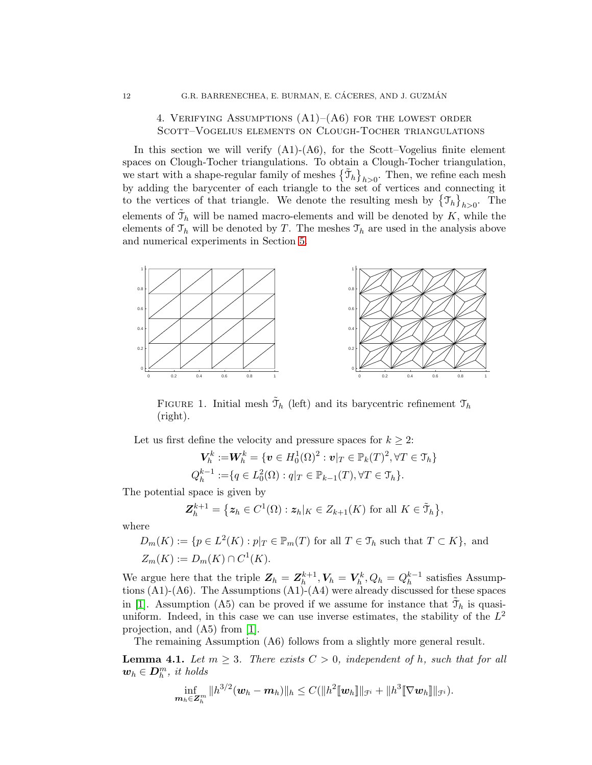## <span id="page-11-0"></span>4. VERIFYING ASSUMPTIONS  $(A1)–(A6)$  for the lowest order Scott–Vogelius elements on Clough-Tocher triangulations

In this section we will verify  $(A1)-(A6)$ , for the Scott–Vogelius finite element spaces on Clough-Tocher triangulations. To obtain a Clough-Tocher triangulation, we start with a shape-regular family of meshes  $\{\tilde{\mathcal{T}}_h\}_{h>0}$ . Then, we refine each mesh by adding the barycenter of each triangle to the set of vertices and connecting it to the vertices of that triangle. We denote the resulting mesh by  $\{\mathcal{T}_h\}_{h>0}$ . The elements of  $\tilde{\mathcal{T}}_h$  will be named macro-elements and will be denoted by K, while the elements of  $\mathfrak{T}_h$  will be denoted by T. The meshes  $\mathfrak{T}_h$  are used in the analysis above and numerical experiments in Section [5.](#page-14-0)



FIGURE 1. Initial mesh  $\tilde{\mathcal{T}}_h$  (left) and its barycentric refinement  $\mathcal{T}_h$ (right).

Let us first define the velocity and pressure spaces for  $k \geq 2$ :

$$
\mathbf{V}_h^k := \mathbf{W}_h^k = \{ \mathbf{v} \in H_0^1(\Omega)^2 : \mathbf{v}|_T \in \mathbb{P}_k(T)^2, \forall T \in \mathcal{T}_h \}
$$
  

$$
Q_h^{k-1} := \{ q \in L_0^2(\Omega) : q|_T \in \mathbb{P}_{k-1}(T), \forall T \in \mathcal{T}_h \}.
$$

The potential space is given by

$$
\mathbf{Z}_{h}^{k+1} = \left\{ \mathbf{z}_{h} \in C^{1}(\Omega) : \mathbf{z}_{h} |_{K} \in Z_{k+1}(K) \text{ for all } K \in \tilde{\mathfrak{I}}_{h} \right\},\
$$

where

$$
D_m(K) := \{ p \in L^2(K) : p|_T \in \mathbb{P}_m(T) \text{ for all } T \in \mathcal{T}_h \text{ such that } T \subset K \}, \text{ and}
$$
  

$$
Z_m(K) := D_m(K) \cap C^1(K).
$$

We argue here that the triple  $Z_h = Z_h^{k+1}$  $\bm{V}_h^{k+1}, \bm{V}_h = \bm{V}_h^{k}, Q_h = Q_h^{k-1}$  $h^{k-1}$  satisfies Assumptions (A1)-(A6). The Assumptions (A1)-(A4) were already discussed for these spaces in [\[1\]](#page-16-6). Assumption (A5) can be proved if we assume for instance that  $\tilde{\mathcal{T}}_h$  is quasiuniform. Indeed, in this case we can use inverse estimates, the stability of the  $L^2$ projection, and (A5) from [\[1\]](#page-16-6).

The remaining Assumption (A6) follows from a slightly more general result.

<span id="page-11-1"></span>**Lemma 4.1.** Let  $m \geq 3$ . There exists  $C > 0$ , independent of h, such that for all  $w_h \in D_h^m$ , it holds

$$
\inf_{\substack{\bm{m}_h\in \mathbf{Z}_h^m}}\|h^{3/2}(\bm{w}_h-\bm{m}_h)\|_h\leq C(\|h^2[\![\bm{w}_h]\!]\|_{\mathcal{F}^i}+\|h^3[\![\nabla \bm{w}_h]\!]\|_{\mathcal{F}^i}).
$$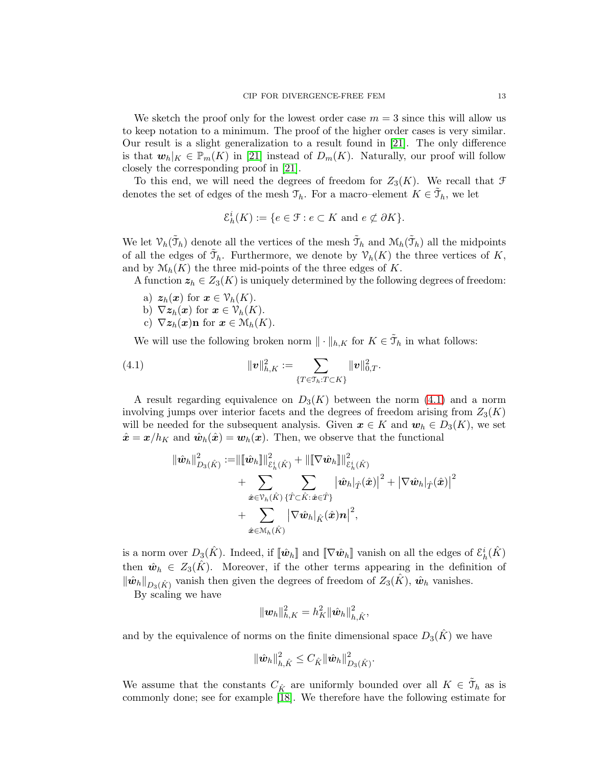We sketch the proof only for the lowest order case  $m = 3$  since this will allow us to keep notation to a minimum. The proof of the higher order cases is very similar. Our result is a slight generalization to a result found in [\[21\]](#page-18-19). The only difference is that  $w_h|_K \in \mathbb{P}_m(K)$  in [\[21\]](#page-18-19) instead of  $D_m(K)$ . Naturally, our proof will follow closely the corresponding proof in [\[21\]](#page-18-19).

To this end, we will need the degrees of freedom for  $Z_3(K)$ . We recall that  $\mathcal F$ denotes the set of edges of the mesh  $\mathfrak{T}_h$ . For a macro–element  $K \in \tilde{\mathfrak{T}}_h$ , we let

$$
\mathcal{E}_h^i(K) := \{ e \in \mathcal{F} : e \subset K \text{ and } e \not\subset \partial K \}.
$$

We let  $\mathcal{V}_h(\tilde{\mathcal{T}}_h)$  denote all the vertices of the mesh  $\tilde{\mathcal{T}}_h$  and  $\mathcal{M}_h(\tilde{\mathcal{T}}_h)$  all the midpoints of all the edges of  $\tilde{\mathcal{T}}_h$ . Furthermore, we denote by  $\mathcal{V}_h(K)$  the three vertices of K, and by  $\mathcal{M}_h(K)$  the three mid-points of the three edges of K.

A function  $z_h \in Z_3(K)$  is uniquely determined by the following degrees of freedom:

- a)  $z_h(x)$  for  $x \in \mathcal{V}_h(K)$ .
- b)  $\nabla z_h(x)$  for  $x \in \mathcal{V}_h(K)$ .
- <span id="page-12-0"></span>c)  $\nabla z_h(\mathbf{x})\mathbf{n}$  for  $\mathbf{x} \in \mathcal{M}_h(K)$ .

We will use the following broken norm  $\|\cdot\|_{h,K}$  for  $K \in \tilde{\mathcal{T}}_h$  in what follows:

(4.1) 
$$
\|v\|_{h,K}^2 := \sum_{\{T \in \mathcal{T}_h : T \subset K\}} \|v\|_{0,T}^2.
$$

A result regarding equivalence on  $D_3(K)$  between the norm [\(4.1\)](#page-12-0) and a norm involving jumps over interior facets and the degrees of freedom arising from  $Z_3(K)$ will be needed for the subsequent analysis. Given  $x \in K$  and  $w_h \in D_3(K)$ , we set  $\hat{x} = x/h_K$  and  $\hat{w}_h(\hat{x}) = w_h(x)$ . Then, we observe that the functional

$$
\begin{aligned} \|\hat{\boldsymbol{w}}_h\|^2_{D_3(\hat{K})} := & \|\llbracket \hat{\boldsymbol{w}}_h \rrbracket\|^2_{\mathcal{E}^i_h(\hat{K})} + \|\llbracket \nabla \hat{\boldsymbol{w}}_h \rrbracket\|^2_{\mathcal{E}^i_h(\hat{K})} \\ &+ \sum_{\hat{\boldsymbol{x}} \in \mathcal{V}_h(\hat{K})} \sum_{\{\hat{T} \subset \hat{K} : \hat{\boldsymbol{x}} \in \hat{T}\}} \left|\hat{\boldsymbol{w}}_h\right|_{\hat{T}}(\hat{\boldsymbol{x}})\right|^2 + \left| \nabla \hat{\boldsymbol{w}}_h\right|_{\hat{T}}(\hat{\boldsymbol{x}}) \big|^2 \\ &+ \sum_{\hat{\boldsymbol{x}} \in \mathcal{M}_h(\hat{K})} \left| \nabla \hat{\boldsymbol{w}}_h\right|_{\hat{K}}(\hat{\boldsymbol{x}}) \boldsymbol{n} \big|^2, \end{aligned}
$$

is a norm over  $D_3(\hat{K})$ . Indeed, if  $[\![\hat{\bm{w}}_h]\!]$  and  $[\![\nabla \hat{\bm{w}}_h]\!]$  vanish on all the edges of  $\mathcal{E}^i_h(\hat{K})$ then  $\hat{\mathbf{w}}_h \in Z_3(K)$ . Moreover, if the other terms appearing in the definition of  $\|\hat{\bm{w}}_h\|_{D_3(\hat{K})}$  vanish then given the degrees of freedom of  $Z_3(\hat{K})$ ,  $\hat{\bm{w}}_h$  vanishes.

By scaling we have

$$
\|\boldsymbol{w}_h\|^2_{h,K}=h_K^2\|\hat{\boldsymbol{w}}_h\|^2_{h,\hat{K}},
$$

and by the equivalence of norms on the finite dimensional space  $D_3(\hat{K})$  we have

$$
\|\hat{\bm{w}}_h\|_{h,\hat{K}}^2 \leq C_{\hat{K}} \|\hat{\bm{w}}_h\|_{D_3(\hat{K})}^2.
$$

We assume that the constants  $C_{\hat{K}}$  are uniformly bounded over all  $K \in \tilde{\mathcal{T}}_h$  as is commonly done; see for example [\[18\]](#page-18-20). We therefore have the following estimate for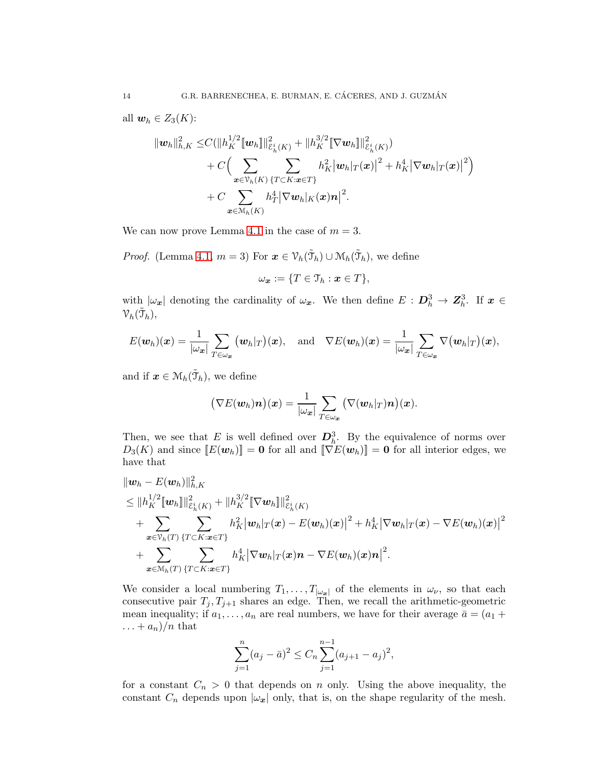all  $\mathbf{w}_h \in Z_3(K)$ :

$$
\|w_h\|_{h,K}^2 \leq C(\|h_K^{1/2} [w_h]\|_{\mathcal{E}_h^i(K)}^2 + \|h_K^{3/2} [\nabla w_h]\|_{\mathcal{E}_h^i(K)}^2) + C\Big(\sum_{\mathbf{x}\in\mathcal{V}_h(K)} \sum_{\{T\subset K:\mathbf{x}\in T\}} h_K^2 |w_h|_T(\mathbf{x})|^2 + h_K^4 |\nabla w_h|_T(\mathbf{x})|^2\Big) + C\sum_{\mathbf{x}\in\mathcal{M}_h(K)} h_T^4 |\nabla w_h|_K(\mathbf{x})\mathbf{n}|^2.
$$

We can now prove Lemma [4.1](#page-11-1) in the case of  $m = 3$ .

*Proof.* (Lemma [4.1,](#page-11-1)  $m = 3$ ) For  $\boldsymbol{x} \in \mathcal{V}_h(\tilde{\mathcal{T}}_h) \cup \mathcal{M}_h(\tilde{\mathcal{T}}_h)$ , we define

$$
\omega_{\boldsymbol{x}} := \{ T \in \mathcal{T}_h : \boldsymbol{x} \in T \},\
$$

with  $|\omega_x|$  denoting the cardinality of  $\omega_x$ . We then define  $E: D_h^3 \to \mathbb{Z}_h^3$ . If  $x \in$  ${\mathcal V}_h(\tilde{\mathfrak T}_h),$ 

$$
E(\boldsymbol{w}_h)(\boldsymbol{x}) = \frac{1}{|\omega_{\boldsymbol{x}}|} \sum_{T \in \omega_{\boldsymbol{x}}} (\boldsymbol{w}_h|_T)(\boldsymbol{x}), \text{ and } \nabla E(\boldsymbol{w}_h)(\boldsymbol{x}) = \frac{1}{|\omega_{\boldsymbol{x}}|} \sum_{T \in \omega_{\boldsymbol{x}}} \nabla (\boldsymbol{w}_h|_T)(\boldsymbol{x}),
$$

and if  $\boldsymbol{x} \in \mathcal{M}_h(\tilde{\mathcal{T}}_h)$ , we define

$$
(\nabla E(\boldsymbol{w}_h)\boldsymbol{n})(\boldsymbol{x})=\frac{1}{|\omega_{\boldsymbol{x}}|}\sum_{T\in\omega_{\boldsymbol{x}}}(\nabla(\boldsymbol{w}_h|_T)\boldsymbol{n})(\boldsymbol{x}).
$$

Then, we see that E is well defined over  $\mathbf{D}_h^3$ . By the equivalence of norms over  $D_3(K)$  and since  $[[E(\mathbf{w}_h)]] = \mathbf{0}$  for all and  $[[\nabla E(\mathbf{w}_h)]] = \mathbf{0}$  for all interior edges, we have that

$$
\|w_h - E(w_h)\|_{h,K}^2
$$
\n
$$
\leq \|h_K^{1/2} [w_h]\|_{\mathcal{E}_h^i(K)}^2 + \|h_K^{3/2} [\nabla w_h]\|_{\mathcal{E}_h^i(K)}^2
$$
\n
$$
+ \sum_{x \in \mathcal{V}_h(T)} \sum_{\{T \subset K: x \in T\}} h_K^2 |w_h|_T(x) - E(w_h)(x)|^2 + h_K^4 |\nabla w_h|_T(x) - \nabla E(w_h)(x)|^2
$$
\n
$$
+ \sum_{x \in \mathcal{M}_h(T)} \sum_{\{T \subset K: x \in T\}} h_K^4 |\nabla w_h|_T(x) \cdot \nabla E(w_h)(x) \cdot n|^2.
$$

We consider a local numbering  $T_1, \ldots, T_{|\omega_x|}$  of the elements in  $\omega_\nu$ , so that each consecutive pair  $T_j, T_{j+1}$  shares an edge. Then, we recall the arithmetic-geometric mean inequality; if  $a_1, \ldots, a_n$  are real numbers, we have for their average  $\bar{a} = (a_1 + a_2)^2$  $\dots + a_n)/n$  that

$$
\sum_{j=1}^{n} (a_j - \bar{a})^2 \le C_n \sum_{j=1}^{n-1} (a_{j+1} - a_j)^2,
$$

for a constant  $C_n > 0$  that depends on n only. Using the above inequality, the constant  $C_n$  depends upon  $|\omega_x|$  only, that is, on the shape regularity of the mesh.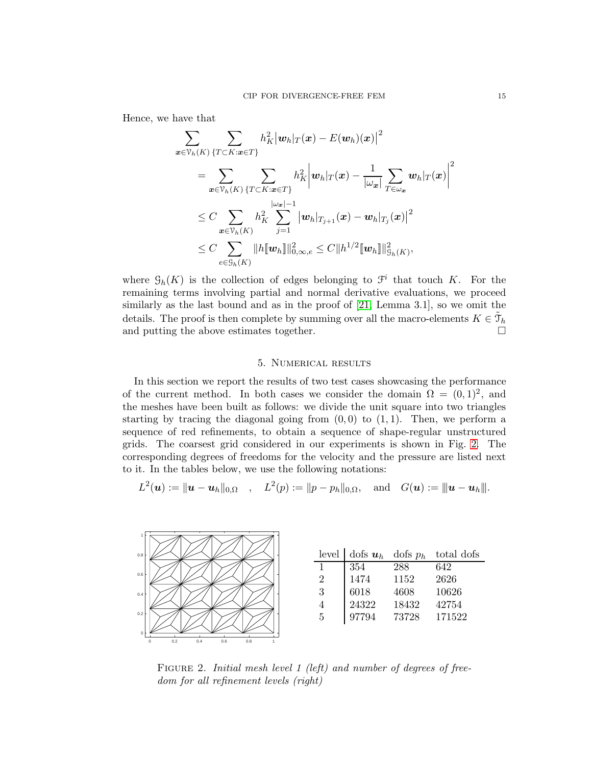Hence, we have that

$$
\begin{aligned} \sum_{\boldsymbol{x}\in\mathcal{V}_h(K)}&\sum_{\{T\subset K:\boldsymbol{x}\in T\}}h_K^2\big|\boldsymbol{w}_h|_T(\boldsymbol{x})-E(\boldsymbol{w}_h)(\boldsymbol{x})\big|^2\\ &=\sum_{\boldsymbol{x}\in\mathcal{V}_h(K)}\sum_{\{T\subset K:\boldsymbol{x}\in T\}}h_K^2\bigg|\boldsymbol{w}_h|_T(\boldsymbol{x})-\frac{1}{|\omega_{\boldsymbol{x}}|}\sum_{T\in\omega_{\boldsymbol{x}}}\boldsymbol{w}_h|_T(\boldsymbol{x})\bigg|^2\\ &\leq C\sum_{\boldsymbol{x}\in\mathcal{V}_h(K)}h_K^2\sum_{j=1}^{|\omega_{\boldsymbol{x}}|-1}\big|\boldsymbol{w}_h|_{T_{j+1}}(\boldsymbol{x})-\boldsymbol{w}_h|_{T_j}(\boldsymbol{x})\big|^2\\ &\leq C\sum_{e\in\mathcal{G}_h(K)}\|h\|\boldsymbol{w}_h\|\|_{0,\infty,e}^2\leq C\|h^{1/2}\|\boldsymbol{w}_h\|\|_{\mathcal{G}_h(K)}^2, \end{aligned}
$$

where  $\mathcal{G}_h(K)$  is the collection of edges belonging to  $\mathcal{F}^i$  that touch K. For the remaining terms involving partial and normal derivative evaluations, we proceed similarly as the last bound and as in the proof of [\[21,](#page-18-19) Lemma 3.1], so we omit the details. The proof is then complete by summing over all the macro-elements  $K \in \tilde{\mathcal{T}}_h$ and putting the above estimates together.

### 5. Numerical results

<span id="page-14-0"></span>In this section we report the results of two test cases showcasing the performance of the current method. In both cases we consider the domain  $\Omega = (0,1)^2$ , and the meshes have been built as follows: we divide the unit square into two triangles starting by tracing the diagonal going from  $(0, 0)$  to  $(1, 1)$ . Then, we perform a sequence of red refinements, to obtain a sequence of shape-regular unstructured grids. The coarsest grid considered in our experiments is shown in Fig. [2.](#page-14-1) The corresponding degrees of freedoms for the velocity and the pressure are listed next to it. In the tables below, we use the following notations:

$$
L^{2}(\boldsymbol{u}):=\|\boldsymbol{u}-\boldsymbol{u}_{h}\|_{0,\Omega} ,\quad L^{2}(p):=\|p-p_{h}\|_{0,\Omega},\quad\text{and}\quad G(\boldsymbol{u}):=\|\boldsymbol{u}-\boldsymbol{u}_{h}\|.
$$

<span id="page-14-1"></span>

FIGURE 2. Initial mesh level 1 (left) and number of degrees of freedom for all refinement levels (right)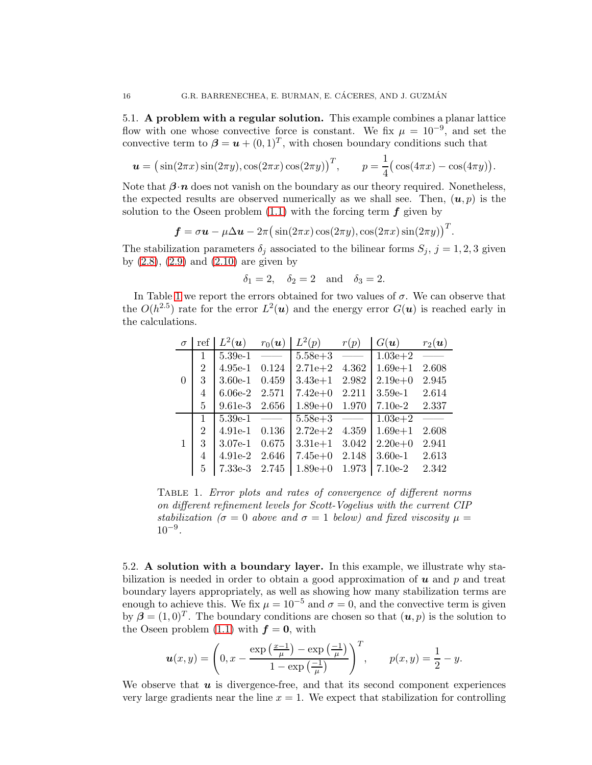5.1. A problem with a regular solution. This example combines a planar lattice flow with one whose convective force is constant. We fix  $\mu = 10^{-9}$ , and set the convective term to  $\boldsymbol{\beta} = \boldsymbol{u} + (0, 1)^T$ , with chosen boundary conditions such that

$$
\boldsymbol{u} = (\sin(2\pi x)\sin(2\pi y), \cos(2\pi x)\cos(2\pi y))^T, \qquad p = \frac{1}{4}(\cos(4\pi x) - \cos(4\pi y)).
$$

Note that  $\beta \cdot n$  does not vanish on the boundary as our theory required. Nonetheless, the expected results are observed numerically as we shall see. Then,  $(u, p)$  is the solution to the Oseen problem  $(1.1)$  with the forcing term  $f$  given by

$$
\boldsymbol{f} = \sigma \boldsymbol{u} - \mu \Delta \boldsymbol{u} - 2\pi \big(\sin(2\pi x)\cos(2\pi y),\cos(2\pi x)\sin(2\pi y)\big)^T.
$$

The stabilization parameters  $\delta_j$  associated to the bilinear forms  $S_j$ ,  $j = 1, 2, 3$  given by  $(2.8)$ ,  $(2.9)$  and  $(2.10)$  are given by

$$
\delta_1 = 2, \quad \delta_2 = 2 \quad \text{and} \quad \delta_3 = 2.
$$

<span id="page-15-0"></span>In Table [1](#page-15-0) we report the errors obtained for two values of  $\sigma$ . We can observe that the  $O(h^{2.5})$  rate for the error  $L^2(u)$  and the energy error  $G(u)$  is reached early in the calculations.

| $\sigma$ |                | ref $L^2(\boldsymbol{u})$ $r_0(\boldsymbol{u})$ |       | $L^2(p)$          | r(p)                            | $G(\boldsymbol{u})$ | $r_2(\boldsymbol{u})$    |
|----------|----------------|-------------------------------------------------|-------|-------------------|---------------------------------|---------------------|--------------------------|
|          | $\mathbf{1}$   | $5.39e-1$ —                                     |       | $5.58e + 3$ —     |                                 | $1.03e + 2$         |                          |
|          | $\overline{2}$ | $4.95e-1$                                       | 0.124 | $2.71e+2$         | 4.362                           | $1.69e + 1$         | 2.608                    |
| 0        | $\mathbf{3}$   | 3.60e-1 $0.459$                                 |       | $3.43e+1$ 2.982   |                                 | $2.19e+0$           | 2.945                    |
|          | 4              | 6.06e-2 2.571                                   |       | $7.42e+0$ 2.211   |                                 | $3.59e-1$           | 2.614                    |
|          | 5              | 9.61e-3 2.656                                   |       | $1.89e+0$ $1.970$ |                                 | $7.10e-2$           | 2.337                    |
|          | $\mathbf{1}$   | $5.39e-1$ —                                     |       | $5.58e + 3$       | $\frac{1}{2}$ and $\frac{1}{2}$ | $1.03e + 2$         | <b>Contract Contract</b> |
|          | $\overline{2}$ | 4.91e-1 0.136                                   |       | $2.72e + 2$       | 4.359                           | $1.69e + 1$         | 2.608                    |
| 1        | 3              | $3.07e-1$                                       | 0.675 | $3.31e+1$         | 3.042                           | $2.20e+0$           | 2.941                    |
|          | 4              | 4.91e-2 2.646                                   |       | $7.45e+0$         | 2.148                           | $3.60e-1$           | 2.613                    |
|          | $5^{\circ}$    | 7.33e-3 2.745                                   |       | $1.89e + 0$       | 1.973                           | $7.10e-2$           | 2.342                    |

Table 1. Error plots and rates of convergence of different norms on different refinement levels for Scott-Vogelius with the current CIP stabilization ( $\sigma = 0$  above and  $\sigma = 1$  below) and fixed viscosity  $\mu =$  $10^{-9}$ .

5.2. A solution with a boundary layer. In this example, we illustrate why stabilization is needed in order to obtain a good approximation of  $\boldsymbol{u}$  and  $\boldsymbol{p}$  and treat boundary layers appropriately, as well as showing how many stabilization terms are enough to achieve this. We fix  $\mu = 10^{-5}$  and  $\sigma = 0$ , and the convective term is given by  $\boldsymbol{\beta} = (1, 0)^T$ . The boundary conditions are chosen so that  $(u, p)$  is the solution to the Oseen problem  $(1.1)$  with  $f = 0$ , with

$$
\boldsymbol{u}(x,y) = \left(0, x - \frac{\exp\left(\frac{x-1}{\mu}\right) - \exp\left(\frac{-1}{\mu}\right)}{1 - \exp\left(\frac{-1}{\mu}\right)}\right)^T, \qquad p(x,y) = \frac{1}{2} - y.
$$

We observe that  $u$  is divergence-free, and that its second component experiences very large gradients near the line  $x = 1$ . We expect that stabilization for controlling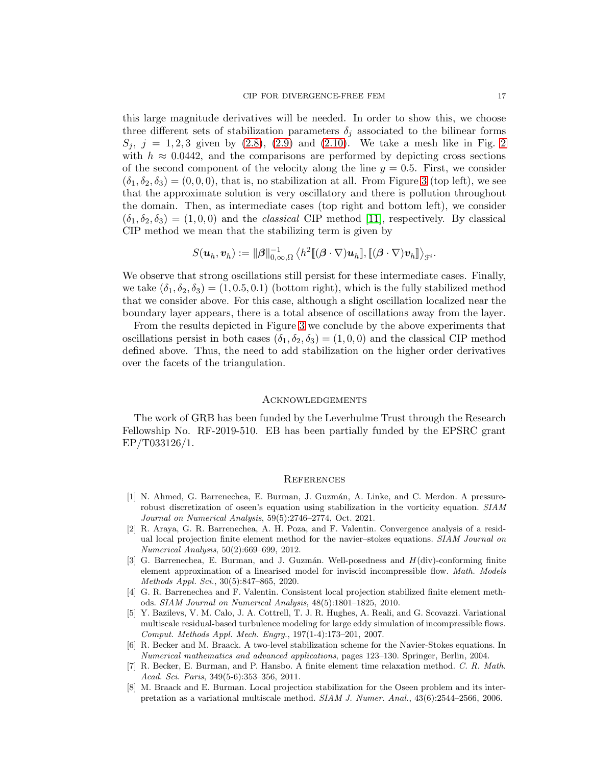this large magnitude derivatives will be needed. In order to show this, we choose three different sets of stabilization parameters  $\delta_i$  associated to the bilinear forms  $S_i$ ,  $j = 1, 2, 3$  $j = 1, 2, 3$  $j = 1, 2, 3$  given by [\(2.8\)](#page-5-8), [\(2.9\)](#page-5-1) and [\(2.10\)](#page-5-2). We take a mesh like in Fig. 2 with  $h \approx 0.0442$ , and the comparisons are performed by depicting cross sections of the second component of the velocity along the line  $y = 0.5$ . First, we consider  $(\delta_1, \delta_2, \delta_3) = (0, 0, 0)$ , that is, no stabilization at all. From Figure [3](#page-17-7) (top left), we see that the approximate solution is very oscillatory and there is pollution throughout the domain. Then, as intermediate cases (top right and bottom left), we consider  $(\delta_1, \delta_2, \delta_3) = (1, 0, 0)$  and the *classical* CIP method [\[11\]](#page-17-2), respectively. By classical CIP method we mean that the stabilizing term is given by

$$
S(\boldsymbol{u}_h,\boldsymbol{v}_h) := \|\boldsymbol{\beta}\|_{0,\infty,\Omega}^{-1}\left\langle h^2[\![(\boldsymbol{\beta}\cdot\nabla)\boldsymbol{u}_h]\!], [[(\boldsymbol{\beta}\cdot\nabla)\boldsymbol{v}_h]\!]\right\rangle_{\mathcal{F}^i}
$$

We observe that strong oscillations still persist for these intermediate cases. Finally, we take  $(\delta_1, \delta_2, \delta_3) = (1, 0.5, 0.1)$  (bottom right), which is the fully stabilized method that we consider above. For this case, although a slight oscillation localized near the boundary layer appears, there is a total absence of oscillations away from the layer.

From the results depicted in Figure [3](#page-17-7) we conclude by the above experiments that oscillations persist in both cases  $(\delta_1, \delta_2, \delta_3) = (1, 0, 0)$  and the classical CIP method defined above. Thus, the need to add stabilization on the higher order derivatives over the facets of the triangulation.

#### Acknowledgements

The work of GRB has been funded by the Leverhulme Trust through the Research Fellowship No. RF-2019-510. EB has been partially funded by the EPSRC grant EP/T033126/1.

#### **REFERENCES**

- <span id="page-16-6"></span>[1] N. Ahmed, G. Barrenechea, E. Burman, J. Guzmán, A. Linke, and C. Merdon. A pressurerobust discretization of oseen's equation using stabilization in the vorticity equation. *SIAM Journal on Numerical Analysis*, 59(5):2746–2774, Oct. 2021.
- <span id="page-16-3"></span>[2] R. Araya, G. R. Barrenechea, A. H. Poza, and F. Valentin. Convergence analysis of a residual local projection finite element method for the navier–stokes equations. *SIAM Journal on Numerical Analysis*, 50(2):669–699, 2012.
- <span id="page-16-5"></span>[3] G. Barrenechea, E. Burman, and J. Guzmán. Well-posedness and  $H(\text{div})$ -conforming finite element approximation of a linearised model for inviscid incompressible flow. *Math. Models Methods Appl. Sci.*, 30(5):847–865, 2020.
- <span id="page-16-2"></span>[4] G. R. Barrenechea and F. Valentin. Consistent local projection stabilized finite element methods. *SIAM Journal on Numerical Analysis*, 48(5):1801–1825, 2010.
- <span id="page-16-4"></span>[5] Y. Bazilevs, V. M. Calo, J. A. Cottrell, T. J. R. Hughes, A. Reali, and G. Scovazzi. Variational multiscale residual-based turbulence modeling for large eddy simulation of incompressible flows. *Comput. Methods Appl. Mech. Engrg.*, 197(1-4):173–201, 2007.
- <span id="page-16-0"></span>[6] R. Becker and M. Braack. A two-level stabilization scheme for the Navier-Stokes equations. In *Numerical mathematics and advanced applications*, pages 123–130. Springer, Berlin, 2004.
- <span id="page-16-7"></span>[7] R. Becker, E. Burman, and P. Hansbo. A finite element time relaxation method. *C. R. Math. Acad. Sci. Paris*, 349(5-6):353–356, 2011.
- <span id="page-16-1"></span>[8] M. Braack and E. Burman. Local projection stabilization for the Oseen problem and its interpretation as a variational multiscale method. *SIAM J. Numer. Anal.*, 43(6):2544–2566, 2006.

.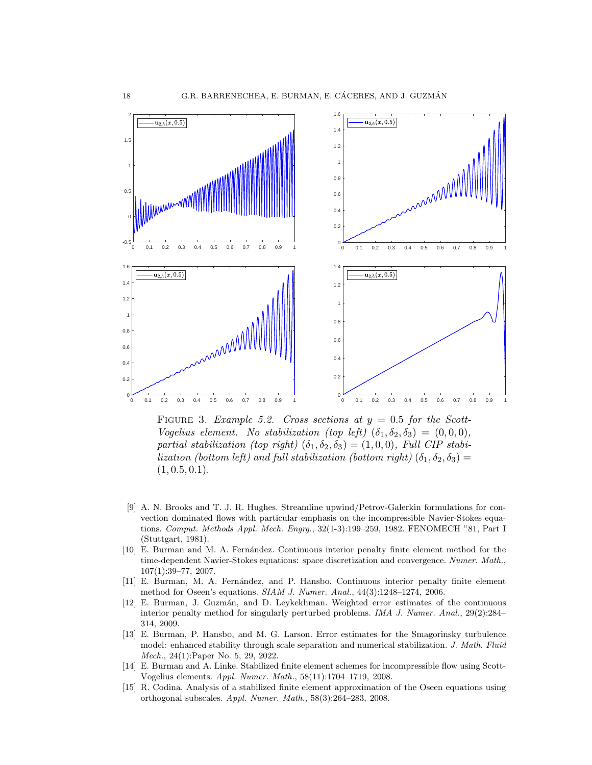<span id="page-17-7"></span>

FIGURE 3. Example 5.2. Cross sections at  $y = 0.5$  for the Scott-Vogelius element. No stabilization (top left)  $(\delta_1, \delta_2, \delta_3) = (0, 0, 0),$ partial stabilization (top right)  $(\delta_1, \delta_2, \delta_3) = (1, 0, 0)$ , Full CIP stabilization (bottom left) and full stabilization (bottom right)  $(\delta_1, \delta_2, \delta_3)$  =  $(1, 0.5, 0.1).$ 

- <span id="page-17-0"></span>[9] A. N. Brooks and T. J. R. Hughes. Streamline upwind/Petrov-Galerkin formulations for convection dominated flows with particular emphasis on the incompressible Navier-Stokes equations. *Comput. Methods Appl. Mech. Engrg.*, 32(1-3):199–259, 1982. FENOMECH "81, Part I (Stuttgart, 1981).
- <span id="page-17-4"></span>[10] E. Burman and M. A. Fernández. Continuous interior penalty finite element method for the time-dependent Navier-Stokes equations: space discretization and convergence. *Numer. Math.*, 107(1):39–77, 2007.
- <span id="page-17-2"></span>[11] E. Burman, M. A. Fernández, and P. Hansbo. Continuous interior penalty finite element method for Oseen's equations. *SIAM J. Numer. Anal.*, 44(3):1248–1274, 2006.
- <span id="page-17-3"></span>[12] E. Burman, J. Guzm´an, and D. Leykekhman. Weighted error estimates of the continuous interior penalty method for singularly perturbed problems. *IMA J. Numer. Anal.*, 29(2):284– 314, 2009.
- <span id="page-17-6"></span>[13] E. Burman, P. Hansbo, and M. G. Larson. Error estimates for the Smagorinsky turbulence model: enhanced stability through scale separation and numerical stabilization. *J. Math. Fluid Mech.*, 24(1): Paper No. 5, 29, 2022.
- <span id="page-17-5"></span>[14] E. Burman and A. Linke. Stabilized finite element schemes for incompressible flow using Scott-Vogelius elements. *Appl. Numer. Math.*, 58(11):1704–1719, 2008.
- <span id="page-17-1"></span>[15] R. Codina. Analysis of a stabilized finite element approximation of the Oseen equations using orthogonal subscales. *Appl. Numer. Math.*, 58(3):264–283, 2008.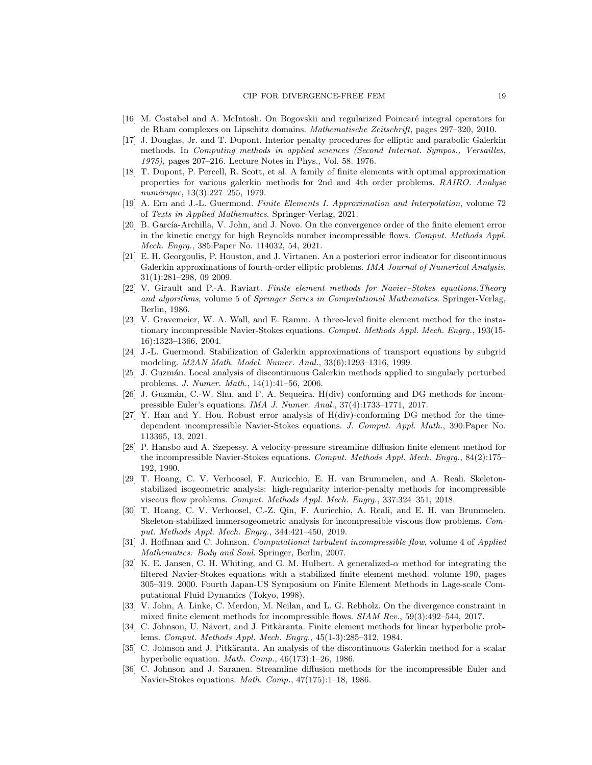- <span id="page-18-18"></span><span id="page-18-1"></span>[16] M. Costabel and A. McIntosh. On Bogovskii and regularized Poincaré integral operators for de Rham complexes on Lipschitz domains. *Mathematische Zeitschrift*, pages 297–320, 2010.
- [17] J. Douglas, Jr. and T. Dupont. Interior penalty procedures for elliptic and parabolic Galerkin methods. In *Computing methods in applied sciences (Second Internat. Sympos., Versailles, 1975)*, pages 207–216. Lecture Notes in Phys., Vol. 58. 1976.
- <span id="page-18-20"></span>[18] T. Dupont, P. Percell, R. Scott, et al. A family of finite elements with optimal approximation properties for various galerkin methods for 2nd and 4th order problems. *RAIRO. Analyse num´erique*, 13(3):227–255, 1979.
- <span id="page-18-16"></span><span id="page-18-7"></span>[19] A. Ern and J.-L. Guermond. *Finite Elements I. Approximation and Interpolation*, volume 72 of *Texts in Applied Mathematics*. Springer-Verlag, 2021.
- [20] B. García-Archilla, V. John, and J. Novo. On the convergence order of the finite element error in the kinetic energy for high Reynolds number incompressible flows. *Comput. Methods Appl. Mech. Engrg.*, 385:Paper No. 114032, 54, 2021.
- <span id="page-18-19"></span>[21] E. H. Georgoulis, P. Houston, and J. Virtanen. An a posteriori error indicator for discontinuous Galerkin approximations of fourth-order elliptic problems. *IMA Journal of Numerical Analysis*, 31(1):281–298, 09 2009.
- <span id="page-18-17"></span>[22] V. Girault and P.-A. Raviart. *Finite element methods for Navier–Stokes equations.Theory and algorithms*, volume 5 of *Springer Series in Computational Mathematics*. Springer-Verlag, Berlin, 1986.
- <span id="page-18-9"></span>[23] V. Gravemeier, W. A. Wall, and E. Ramm. A three-level finite element method for the instationary incompressible Navier-Stokes equations. *Comput. Methods Appl. Mech. Engrg.*, 193(15- 16):1323–1366, 2004.
- <span id="page-18-0"></span>[24] J.-L. Guermond. Stabilization of Galerkin approximations of transport equations by subgrid modeling. *M2AN Math. Model. Numer. Anal.*, 33(6):1293–1316, 1999.
- <span id="page-18-4"></span>[25] J. Guzmán. Local analysis of discontinuous Galerkin methods applied to singularly perturbed problems. *J. Numer. Math.*, 14(1):41–56, 2006.
- <span id="page-18-12"></span>[26] J. Guzmán, C.-W. Shu, and F. A. Sequeira. H(div) conforming and DG methods for incompressible Euler's equations. *IMA J. Numer. Anal.*, 37(4):1733–1771, 2017.
- <span id="page-18-13"></span>[27] Y. Han and Y. Hou. Robust error analysis of H(div)-conforming DG method for the timedependent incompressible Navier-Stokes equations. *J. Comput. Appl. Math.*, 390:Paper No. 113365, 13, 2021.
- <span id="page-18-6"></span>[28] P. Hansbo and A. Szepessy. A velocity-pressure streamline diffusion finite element method for the incompressible Navier-Stokes equations. *Comput. Methods Appl. Mech. Engrg.*, 84(2):175– 192, 1990.
- <span id="page-18-14"></span>[29] T. Hoang, C. V. Verhoosel, F. Auricchio, E. H. van Brummelen, and A. Reali. Skeletonstabilized isogeometric analysis: high-regularity interior-penalty methods for incompressible viscous flow problems. *Comput. Methods Appl. Mech. Engrg.*, 337:324–351, 2018.
- <span id="page-18-15"></span>[30] T. Hoang, C. V. Verhoosel, C.-Z. Qin, F. Auricchio, A. Reali, and E. H. van Brummelen. Skeleton-stabilized immersogeometric analysis for incompressible viscous flow problems. *Comput. Methods Appl. Mech. Engrg.*, 344:421–450, 2019.
- <span id="page-18-10"></span>[31] J. Hoffman and C. Johnson. *Computational turbulent incompressible flow*, volume 4 of *Applied Mathematics: Body and Soul*. Springer, Berlin, 2007.
- <span id="page-18-8"></span>[32] K. E. Jansen, C. H. Whiting, and G. M. Hulbert. A generalized- $\alpha$  method for integrating the filtered Navier-Stokes equations with a stabilized finite element method. volume 190, pages 305–319. 2000. Fourth Japan-US Symposium on Finite Element Methods in Lage-scale Computational Fluid Dynamics (Tokyo, 1998).
- <span id="page-18-11"></span>[33] V. John, A. Linke, C. Merdon, M. Neilan, and L. G. Rebholz. On the divergence constraint in mixed finite element methods for incompressible flows. *SIAM Rev.*, 59(3):492–544, 2017.
- <span id="page-18-3"></span>[34] C. Johnson, U. Nävert, and J. Pitkäranta. Finite element methods for linear hyperbolic problems. *Comput. Methods Appl. Mech. Engrg.*, 45(1-3):285–312, 1984.
- <span id="page-18-2"></span>[35] C. Johnson and J. Pitkäranta. An analysis of the discontinuous Galerkin method for a scalar hyperbolic equation. *Math. Comp.*, 46(173):1–26, 1986.
- <span id="page-18-5"></span>[36] C. Johnson and J. Saranen. Streamline diffusion methods for the incompressible Euler and Navier-Stokes equations. *Math. Comp.*, 47(175):1–18, 1986.